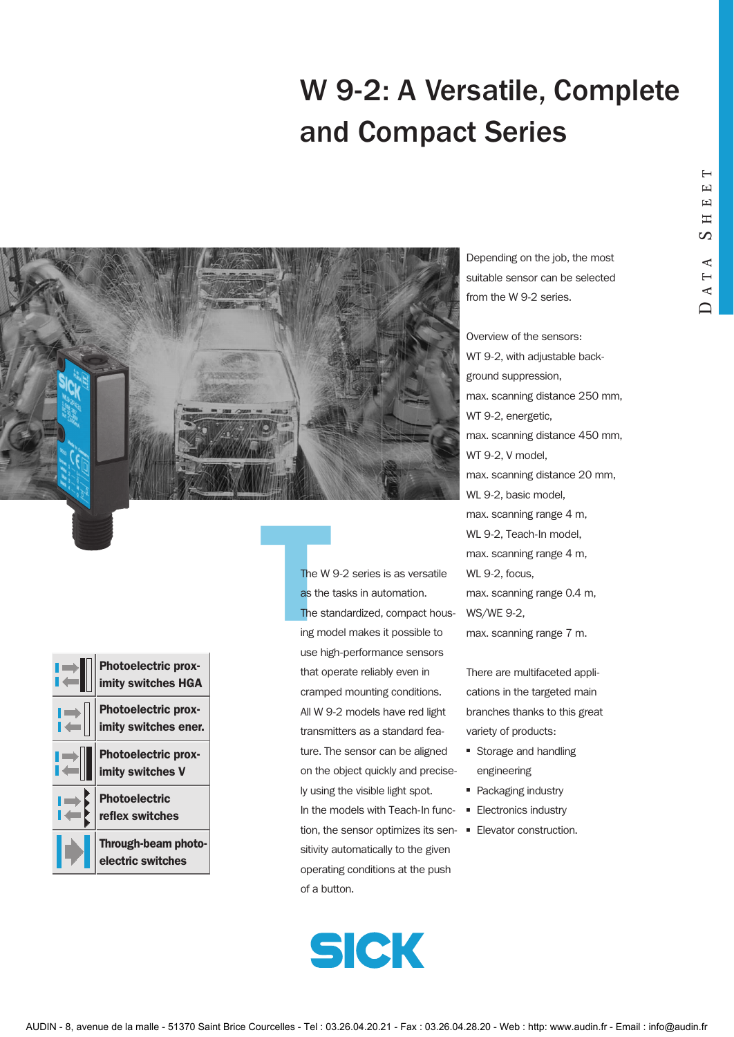# W 9-2: A Versatile, Complete and Compact Series



| Photoelectric prox-<br>imity switches HGA          |
|----------------------------------------------------|
| <b>Photoelectric prox-</b><br>imity switches ener. |
| <b>Photoelectric prox-</b><br>imity switches V     |
| <b>Photoelectric</b><br>reflex switches            |
| Through-beam photo-<br>electric switches           |

The W<br>as the<br>The sta<br>ing mo The W 9-2 series is as versatile as the tasks in automation. The standardized, compact housing model makes it possible to use high-performance sensors that operate reliably even in cramped mounting conditions. All W 9-2 models have red light transmitters as a standard feature. The sensor can be aligned on the object quickly and precisely using the visible light spot. In the models with Teach-In function, the sensor optimizes its sen-■ Elevator construction. sitivity automatically to the given operating conditions at the push of a button.



Depending on the job, the most suitable sensor can be selected from the W 9-2 series.

Overview of the sensors: WT 9-2, with adjustable background suppression, max. scanning distance 250 mm, WT 9-2, energetic, max. scanning distance 450 mm, WT 9-2, V model, max. scanning distance 20 mm, WL 9-2, basic model, max. scanning range 4 m, WL 9-2, Teach-In model, max. scanning range 4 m, WL 9-2, focus, max. scanning range 0.4 m, WS/WE 9-2, max. scanning range 7 m.

There are multifaceted applications in the targeted main branches thanks to this great variety of products:

- Storage and handling engineering
- Packaging industry
- Electronics industry
-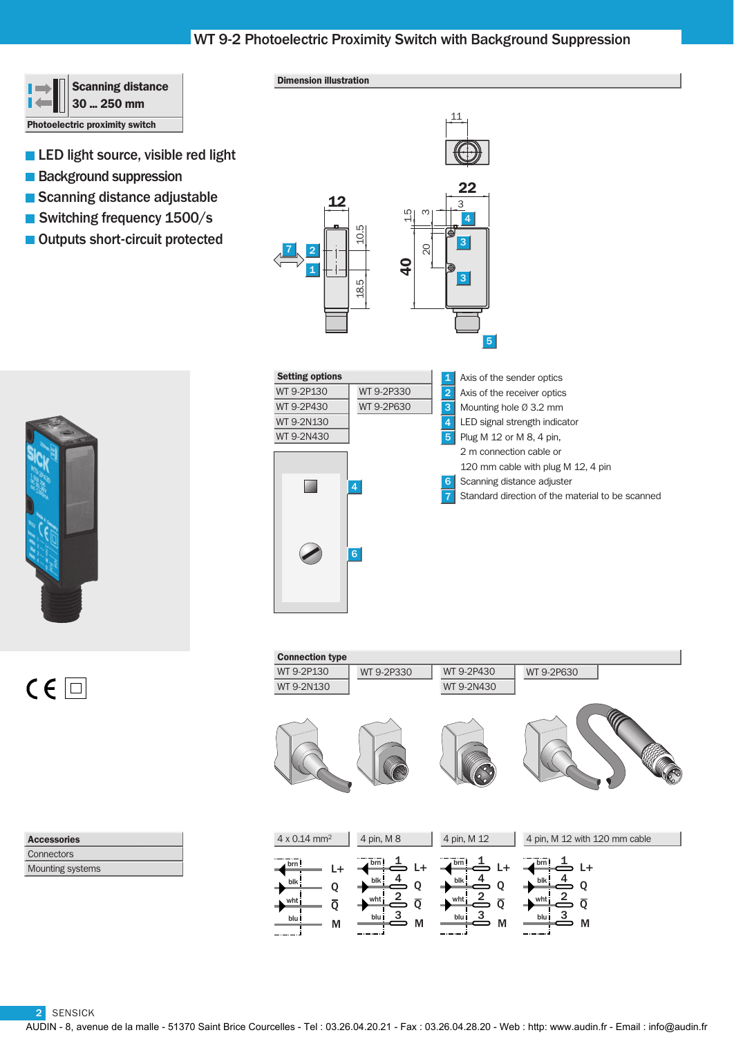# WT 9-2 Photoelectric Proximity Switch with Background Suppression

40

م<br>أ

8 ∥<br>20

 $\overline{O}$ 



### Dimension illustration

12

18.5 10.5

18.5

1

2

7



- **Background suppression**
- Scanning distance adjustable
- Switching frequency 1500/s
- Outputs short-circuit protected



 $C \in \Box$ 

Setting options Axis of the sender optics 1 WT 9-2P130 WT 9-2P330 2 Axis of the receiver optics WT 9-2P430 WT 9-2P630 3 Mounting hole Ø 3.2 mm WT 9-2N130 LED signal strength indicator WT 9-2N430 5 Plug M 12 or M 8, 4 pin, 2 m connection cable or 120 mm cable with plug M 12, 4 pin Scanning distance adjuster 6 **COL** Standard direction of the material to be scanned 6

22

4

3

11

3

5

| <b>Connection type</b>                                |                                                                    |                                                                                                  |                                                                       |
|-------------------------------------------------------|--------------------------------------------------------------------|--------------------------------------------------------------------------------------------------|-----------------------------------------------------------------------|
| WT 9-2P130                                            | WT 9-2P330                                                         | WT 9-2P430                                                                                       | WT 9-2P630                                                            |
| WT 9-2N130                                            |                                                                    | WT 9-2N430                                                                                       |                                                                       |
|                                                       |                                                                    |                                                                                                  |                                                                       |
| $4 \times 0.14$ mm <sup>2</sup>                       | 4 pin, M 8                                                         | 4 pin, M 12                                                                                      | 4 pin, M 12 with 120 mm cable                                         |
| brn!<br>L+<br>blk<br>O<br>٠<br>wht<br>ō<br>blu i<br>М | brn<br>L+<br>blk!<br>Q<br>wht<br>$\overline{Q}$<br>з<br>blu İ<br>M | brn!<br>L+<br>$b$ lk<br>Q<br>$\overline{2}$<br>wht<br>$\overline{\textbf{Q}}$<br>3<br>blu İ<br>M | brn!<br>$L +$<br>blk<br>O<br>wht<br>$\overline{Q}$<br>3<br>blu İ<br>M |

Mounting systems **Connectors** Accessories

2 SENSICK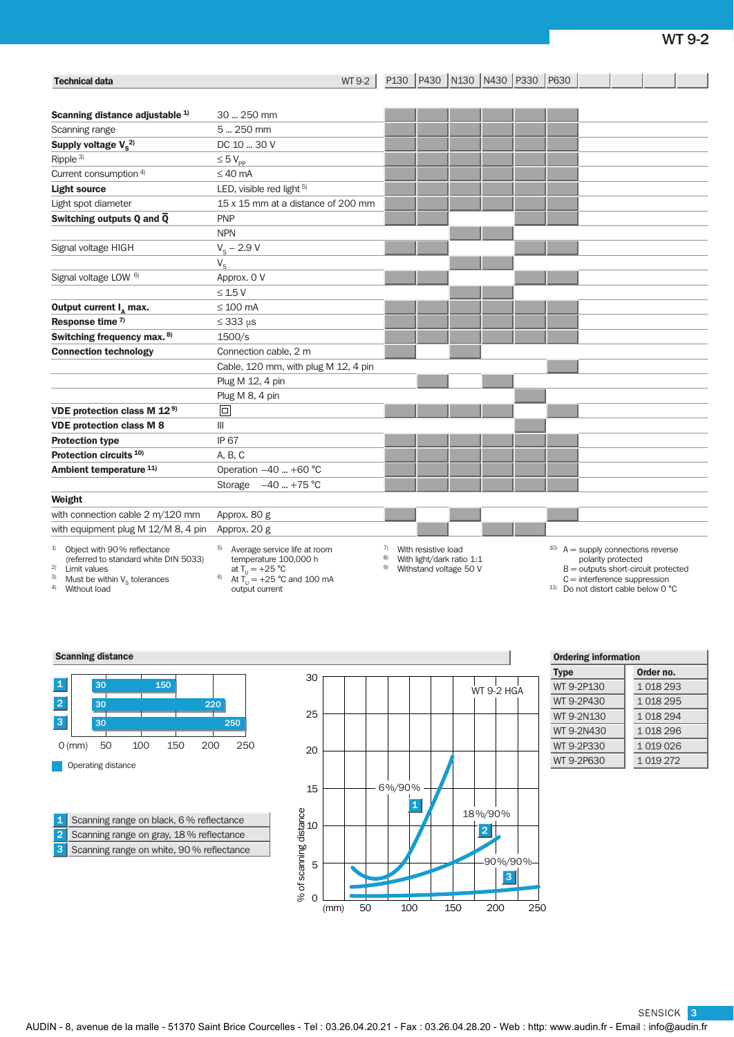# WT 9-2

| <b>Technical data</b>                                                                                                                            | WT 9-2                                                                                                                         |                | P130   P430   N130   N430   P330                                           |  | P630 |                                                                                                                   |                    |  |
|--------------------------------------------------------------------------------------------------------------------------------------------------|--------------------------------------------------------------------------------------------------------------------------------|----------------|----------------------------------------------------------------------------|--|------|-------------------------------------------------------------------------------------------------------------------|--------------------|--|
|                                                                                                                                                  |                                                                                                                                |                |                                                                            |  |      |                                                                                                                   |                    |  |
| Scanning distance adjustable <sup>1)</sup>                                                                                                       | 30  250 mm                                                                                                                     |                |                                                                            |  |      |                                                                                                                   |                    |  |
| Scanning range                                                                                                                                   | 5  250 mm                                                                                                                      |                |                                                                            |  |      |                                                                                                                   |                    |  |
| Supply voltage $V_s^{2)}$                                                                                                                        | DC 10  30 V                                                                                                                    |                |                                                                            |  |      |                                                                                                                   |                    |  |
| Ripple <sup>3)</sup>                                                                                                                             | $\leq 5 V_{\text{pp}}$                                                                                                         |                |                                                                            |  |      |                                                                                                                   |                    |  |
| Current consumption 4)                                                                                                                           | $\leq 40$ mA                                                                                                                   |                |                                                                            |  |      |                                                                                                                   |                    |  |
| <b>Light source</b>                                                                                                                              | LED, visible red light 5)                                                                                                      |                |                                                                            |  |      |                                                                                                                   |                    |  |
| Light spot diameter                                                                                                                              | 15 x 15 mm at a distance of 200 mm                                                                                             |                |                                                                            |  |      |                                                                                                                   |                    |  |
| Switching outputs Q and $\overline{Q}$                                                                                                           | <b>PNP</b>                                                                                                                     |                |                                                                            |  |      |                                                                                                                   |                    |  |
|                                                                                                                                                  | <b>NPN</b>                                                                                                                     |                |                                                                            |  |      |                                                                                                                   |                    |  |
| Signal voltage HIGH                                                                                                                              | $V_{S}$ – 2.9 V                                                                                                                |                |                                                                            |  |      |                                                                                                                   |                    |  |
|                                                                                                                                                  | $V_{\rm S}$                                                                                                                    |                |                                                                            |  |      |                                                                                                                   |                    |  |
| Signal voltage LOW <sup>6)</sup>                                                                                                                 | Approx. 0 V                                                                                                                    |                |                                                                            |  |      |                                                                                                                   |                    |  |
|                                                                                                                                                  | $\leq$ 1.5 V                                                                                                                   |                |                                                                            |  |      |                                                                                                                   |                    |  |
| Output current $I_{\alpha}$ max.                                                                                                                 | $\leq 100$ mA                                                                                                                  |                |                                                                            |  |      |                                                                                                                   |                    |  |
| Response time <sup>7)</sup>                                                                                                                      | $\leq$ 333 $\mu$ s                                                                                                             |                |                                                                            |  |      |                                                                                                                   |                    |  |
| Switching frequency max. 8)                                                                                                                      | 1500/s                                                                                                                         |                |                                                                            |  |      |                                                                                                                   |                    |  |
| <b>Connection technology</b>                                                                                                                     | Connection cable, 2 m                                                                                                          |                |                                                                            |  |      |                                                                                                                   |                    |  |
|                                                                                                                                                  | Cable, 120 mm, with plug M 12, 4 pin                                                                                           |                |                                                                            |  |      |                                                                                                                   |                    |  |
|                                                                                                                                                  | Plug M 12, 4 pin                                                                                                               |                |                                                                            |  |      |                                                                                                                   |                    |  |
|                                                                                                                                                  | Plug M 8, 4 pin                                                                                                                |                |                                                                            |  |      |                                                                                                                   |                    |  |
| VDE protection class M 12 <sup>9)</sup>                                                                                                          | $\Box$                                                                                                                         |                |                                                                            |  |      |                                                                                                                   |                    |  |
| <b>VDE protection class M 8</b>                                                                                                                  | III                                                                                                                            |                |                                                                            |  |      |                                                                                                                   |                    |  |
| <b>Protection type</b>                                                                                                                           | <b>IP 67</b>                                                                                                                   |                |                                                                            |  |      |                                                                                                                   |                    |  |
| Protection circuits <sup>10)</sup>                                                                                                               | A, B, C                                                                                                                        |                |                                                                            |  |      |                                                                                                                   |                    |  |
| Ambient temperature 11)                                                                                                                          | Operation -40  +60 °C                                                                                                          |                |                                                                            |  |      |                                                                                                                   |                    |  |
|                                                                                                                                                  | $-40$ +75 °C<br>Storage                                                                                                        |                |                                                                            |  |      |                                                                                                                   |                    |  |
| Weight                                                                                                                                           |                                                                                                                                |                |                                                                            |  |      |                                                                                                                   |                    |  |
| with connection cable 2 m/120 mm                                                                                                                 | Approx. 80 g                                                                                                                   |                |                                                                            |  |      |                                                                                                                   |                    |  |
| with equipment plug M 12/M 8, 4 pin                                                                                                              | Approx. 20 g                                                                                                                   |                |                                                                            |  |      |                                                                                                                   |                    |  |
| 1)<br>Object with 90% reflectance<br>(referred to standard white DIN 5033)<br>$2)$ Limit values<br><sup>3)</sup> Must be within $V_s$ tolerances | 5)<br>Average service life at room<br>temperature 100,000 h<br>at $T_{\rm u} = +25$ °C<br>6)<br>At $T_{1} = +25$ °C and 100 mA | 7)<br>8)<br>9) | With resistive load<br>With light/dark ratio 1:1<br>Withstand voltage 50 V |  |      | $^{10}$ A = supply connections reverse<br>$B =$ outputs short-circuit protected<br>$C =$ interference suppression | polarity protected |  |

- <sup>3)</sup> Must be within  $V_S$  tolerances<br><sup>4)</sup> Without load
- At  $T_{U} = +25$  °C and 100 mA output current

11) Do not distort cable below 0 °C

### **Scanning distance**



Scanning range on white, 90 % reflectance Scanning range on gray, 18 % reflectance 1 Scanning range on black, 6% reflectance 2 3



| <b>Ordering information</b> |           |  |  |  |  |
|-----------------------------|-----------|--|--|--|--|
| <b>Type</b>                 | Order no. |  |  |  |  |
| WT 9-2P130                  | 1018293   |  |  |  |  |
| WT 9-2P430                  | 1018295   |  |  |  |  |
| WT 9-2N130                  | 1 018 294 |  |  |  |  |
| WT 9-2N430                  | 1018296   |  |  |  |  |
| WT 9-2P330                  | 1019026   |  |  |  |  |
| WT 9-2P630                  | 1 019 272 |  |  |  |  |

SENSICK 3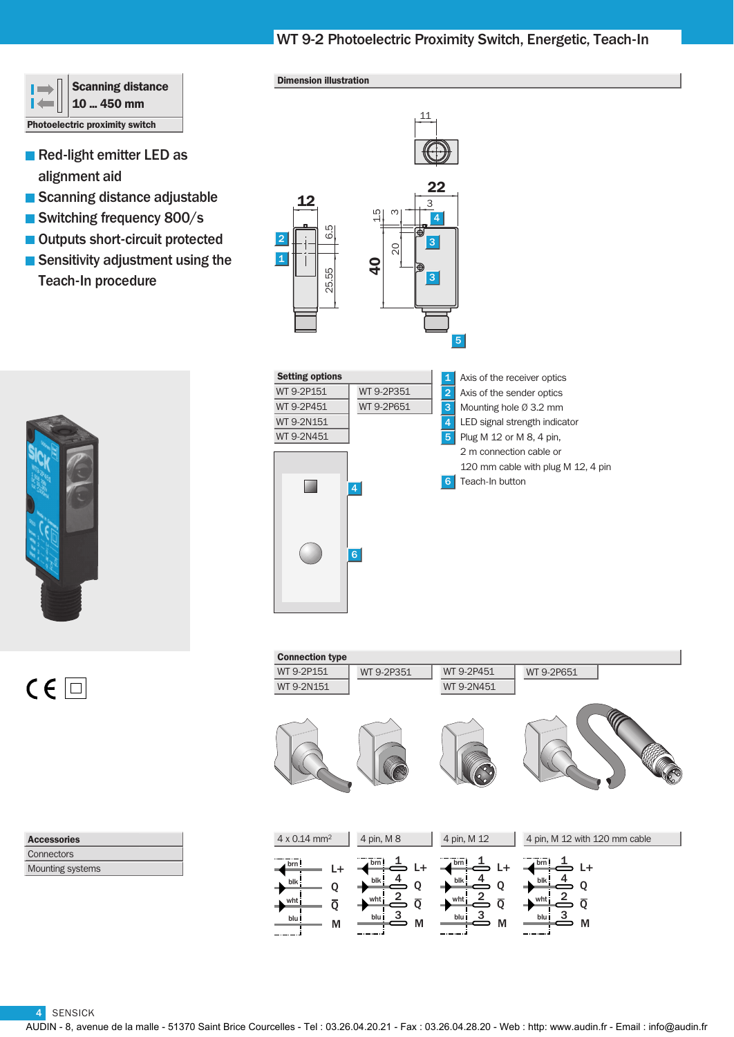# WT 9-2 Photoelectric Proximity Switch, Energetic, Teach-In

11



- Red-light emitter LED as alignment aid
- Scanning distance adjustable
- Switching frequency 800/s
- Outputs short-circuit protected
- Sensitivity adjustment using the Teach-In procedure



 $C \in \Box$ 

Se Axis of the receiver optics Axis of the sender optics Mounting hole Ø 3.2 mm LED signal strength indicator Plug M 12 or M 8, 4 pin, 2 m connection cable or Teach-In button 1 2 3 4 5 6  $\overline{\text{WT}}$  $\overline{\text{WT}}$  $WT$  $WT$ 4 6 WT 9-2P351 WT 9-2P651

Connection type  $\perp$ Q  $\overline{Q}$ M brn wht blu blk 4 pin, M 12 WT 9-2P451 WT 9-2N451  $\stackrel{1}{\Rightarrow}$  L+ Q  $\overline{Q}$ 4 2 3 M brn wht blu blk 4 pin, M 8  $\stackrel{1}{\Rightarrow}$  L+ Q  $\overline{O}$ 4 2 3 M brn wht blu blk 4 x 0.14 mm2  $L+$ Q  $\overline{Q}$ 4  $\overline{2}$ 3 M brn wht blu blk 4 pin, M 12 with 120 mm cable WT 9-2P151 WT 9-2P351 WT 9-2N151 WT 9-2P651

| <b>Accessories</b> |  |
|--------------------|--|
| Connectors         |  |
| Mounting systems   |  |



Dimension illustration

| tting options |            | 1              | Axis of the receiver optics        |
|---------------|------------|----------------|------------------------------------|
| 9-2P151       | WT 9-2P351 | $\overline{2}$ | Axis of the sender optics          |
| 9-2P451       | WT 9-2P651 | 3              | Mounting hole $\varnothing$ 3.2 mm |
| 9-2N151       |            | 4              | LED signal strength indicator      |
| 9-2N451       |            | 5              | Plug M 12 or M 8, 4 pin,           |
|               |            |                | 2 m connection cable or            |
|               |            |                | 120 mm cable with plug M 12, 4 pin |
|               | 4          | 6              | Teach-In button                    |
|               |            |                |                                    |
|               |            |                |                                    |
|               |            |                |                                    |
|               | 6          |                |                                    |
|               |            |                |                                    |
|               |            |                |                                    |
|               |            |                |                                    |

4 SENSICK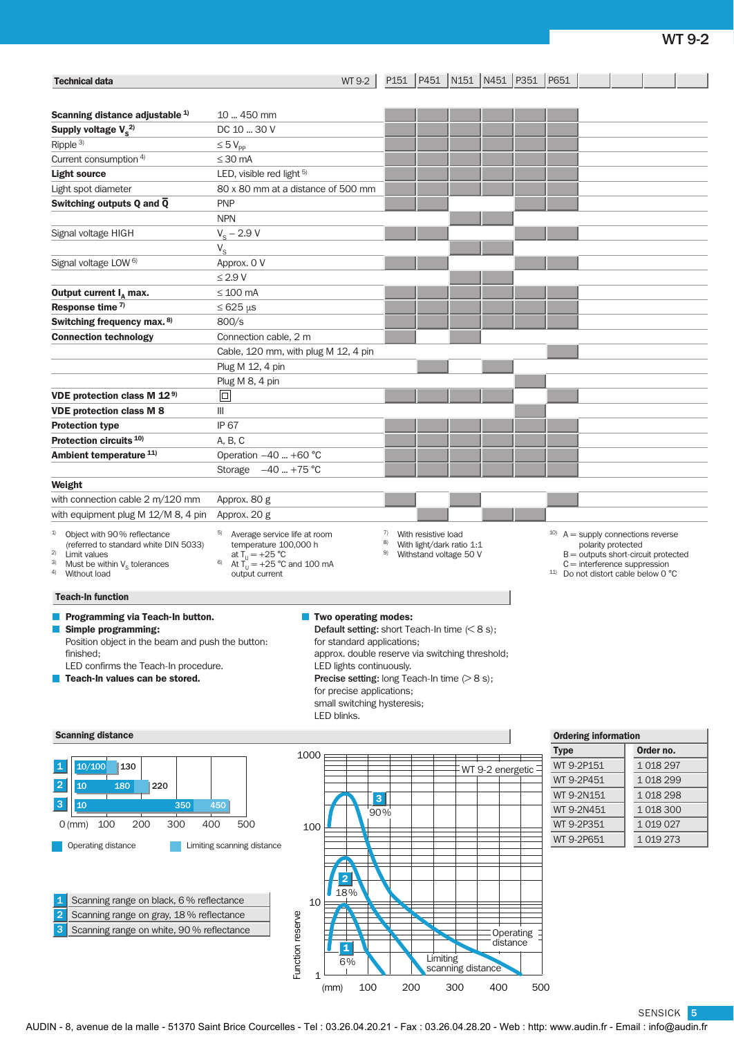| <b>Technical data</b>                                                                                                                                                                              | WT 9-2                                                                                                                                                    |                                                                                                                                                                    | P151   P451   N151   N451   P351   P651 |                             |                                                                                                                                                                                                   |  |  |
|----------------------------------------------------------------------------------------------------------------------------------------------------------------------------------------------------|-----------------------------------------------------------------------------------------------------------------------------------------------------------|--------------------------------------------------------------------------------------------------------------------------------------------------------------------|-----------------------------------------|-----------------------------|---------------------------------------------------------------------------------------------------------------------------------------------------------------------------------------------------|--|--|
| Scanning distance adjustable <sup>1)</sup>                                                                                                                                                         | 10  450 mm                                                                                                                                                |                                                                                                                                                                    |                                         |                             |                                                                                                                                                                                                   |  |  |
| Supply voltage $V_s^{2)}$                                                                                                                                                                          | DC 10  30 V                                                                                                                                               |                                                                                                                                                                    |                                         |                             |                                                                                                                                                                                                   |  |  |
| Ripple $3)$                                                                                                                                                                                        | $\leq 5 V_{\text{pp}}$                                                                                                                                    |                                                                                                                                                                    |                                         |                             |                                                                                                                                                                                                   |  |  |
| Current consumption 4)                                                                                                                                                                             | $\leq$ 30 mA                                                                                                                                              |                                                                                                                                                                    |                                         |                             |                                                                                                                                                                                                   |  |  |
| <b>Light source</b>                                                                                                                                                                                | LED, visible red light 5)                                                                                                                                 |                                                                                                                                                                    |                                         |                             |                                                                                                                                                                                                   |  |  |
| Light spot diameter                                                                                                                                                                                | 80 x 80 mm at a distance of 500 mm                                                                                                                        |                                                                                                                                                                    |                                         |                             |                                                                                                                                                                                                   |  |  |
| Switching outputs Q and $\overline{Q}$                                                                                                                                                             | <b>PNP</b>                                                                                                                                                |                                                                                                                                                                    |                                         |                             |                                                                                                                                                                                                   |  |  |
|                                                                                                                                                                                                    | <b>NPN</b>                                                                                                                                                |                                                                                                                                                                    |                                         |                             |                                                                                                                                                                                                   |  |  |
|                                                                                                                                                                                                    |                                                                                                                                                           |                                                                                                                                                                    |                                         |                             |                                                                                                                                                                                                   |  |  |
| Signal voltage HIGH                                                                                                                                                                                | $V_{\rm s}$ – 2.9 V                                                                                                                                       |                                                                                                                                                                    |                                         |                             |                                                                                                                                                                                                   |  |  |
|                                                                                                                                                                                                    | $V_{\rm S}$                                                                                                                                               |                                                                                                                                                                    |                                         |                             |                                                                                                                                                                                                   |  |  |
| Signal voltage LOW <sup>6)</sup>                                                                                                                                                                   | Approx. 0 V                                                                                                                                               |                                                                                                                                                                    |                                         |                             |                                                                                                                                                                                                   |  |  |
|                                                                                                                                                                                                    | $\leq$ 2.9 V                                                                                                                                              |                                                                                                                                                                    |                                         |                             |                                                                                                                                                                                                   |  |  |
| Output current $I_{\text{A}}$ max.                                                                                                                                                                 | $\leq 100$ mA                                                                                                                                             |                                                                                                                                                                    |                                         |                             |                                                                                                                                                                                                   |  |  |
| Response time 7)                                                                                                                                                                                   | $\leq 625 \,\mu s$                                                                                                                                        |                                                                                                                                                                    |                                         |                             |                                                                                                                                                                                                   |  |  |
| Switching frequency max. 8)                                                                                                                                                                        | 800/s                                                                                                                                                     |                                                                                                                                                                    |                                         |                             |                                                                                                                                                                                                   |  |  |
| <b>Connection technology</b>                                                                                                                                                                       | Connection cable, 2 m                                                                                                                                     |                                                                                                                                                                    |                                         |                             |                                                                                                                                                                                                   |  |  |
|                                                                                                                                                                                                    | Cable, 120 mm, with plug M 12, 4 pin                                                                                                                      |                                                                                                                                                                    |                                         |                             |                                                                                                                                                                                                   |  |  |
|                                                                                                                                                                                                    | Plug M 12, 4 pin                                                                                                                                          |                                                                                                                                                                    |                                         |                             |                                                                                                                                                                                                   |  |  |
|                                                                                                                                                                                                    | Plug M 8, 4 pin                                                                                                                                           |                                                                                                                                                                    |                                         |                             |                                                                                                                                                                                                   |  |  |
| VDE protection class M 12 <sup>9)</sup>                                                                                                                                                            | $\boxed{\square}$                                                                                                                                         |                                                                                                                                                                    |                                         |                             |                                                                                                                                                                                                   |  |  |
| <b>VDE protection class M 8</b>                                                                                                                                                                    | $\mathbb{H}$                                                                                                                                              |                                                                                                                                                                    |                                         |                             |                                                                                                                                                                                                   |  |  |
| <b>Protection type</b>                                                                                                                                                                             | <b>IP 67</b>                                                                                                                                              |                                                                                                                                                                    |                                         |                             |                                                                                                                                                                                                   |  |  |
| Protection circuits <sup>10)</sup>                                                                                                                                                                 | A, B, C                                                                                                                                                   |                                                                                                                                                                    |                                         |                             |                                                                                                                                                                                                   |  |  |
| Ambient temperature 11)                                                                                                                                                                            | Operation $-40$ +60 °C                                                                                                                                    |                                                                                                                                                                    |                                         |                             |                                                                                                                                                                                                   |  |  |
|                                                                                                                                                                                                    | Storage $-40$ +75 °C                                                                                                                                      |                                                                                                                                                                    |                                         |                             |                                                                                                                                                                                                   |  |  |
| Weight                                                                                                                                                                                             |                                                                                                                                                           |                                                                                                                                                                    |                                         |                             |                                                                                                                                                                                                   |  |  |
| with connection cable 2 m/120 mm                                                                                                                                                                   | Approx. 80 g                                                                                                                                              |                                                                                                                                                                    |                                         |                             |                                                                                                                                                                                                   |  |  |
| with equipment plug M 12/M 8, 4 pin                                                                                                                                                                | Approx. 20 g                                                                                                                                              |                                                                                                                                                                    |                                         |                             |                                                                                                                                                                                                   |  |  |
|                                                                                                                                                                                                    |                                                                                                                                                           |                                                                                                                                                                    |                                         |                             |                                                                                                                                                                                                   |  |  |
| 1)<br>Object with 90% reflectance<br>(referred to standard white DIN 5033)<br>2)<br>Limit values<br>Must be within $V_{\rm s}$ tolerances<br>3)<br><sup>4)</sup> Without load                      | 5) Average service life at room<br>temperature 100,000 h<br>at $T_{11} = +25 °C$<br>6)<br>At $T_{\rm U} = +25$ °C and 100 mA<br>output current            | 7)<br>With resistive load<br>8)<br>With light/dark ratio 1:1<br>9)<br>Withstand voltage 50 V                                                                       |                                         |                             | $10)$ A = supply connections reverse<br>polarity protected<br>$B =$ outputs short-circuit protected<br>$C =$ interference suppression<br><sup>11)</sup> Do not distort cable below 0 $^{\circ}$ C |  |  |
| <b>Teach-In function</b>                                                                                                                                                                           |                                                                                                                                                           |                                                                                                                                                                    |                                         |                             |                                                                                                                                                                                                   |  |  |
| Programming via Teach-In button.<br>Simple programming:<br>Position object in the beam and push the button:<br>finished:<br>LED confirms the Teach-In procedure.<br>Teach-In values can be stored. | Two operating modes:<br>for standard applications;<br>LED lights continuously.<br>for precise applications;<br>small switching hysteresis;<br>LED blinks. | <b>Default setting:</b> short Teach-In time $(68 s)$ ;<br>approx. double reserve via switching threshold;<br><b>Precise setting:</b> long Teach-In time $(>8 s)$ ; |                                         |                             |                                                                                                                                                                                                   |  |  |
| <b>Scanning distance</b>                                                                                                                                                                           |                                                                                                                                                           |                                                                                                                                                                    |                                         | <b>Ordering information</b> |                                                                                                                                                                                                   |  |  |
|                                                                                                                                                                                                    | 1000                                                                                                                                                      |                                                                                                                                                                    |                                         | <b>Type</b>                 | Order no.                                                                                                                                                                                         |  |  |
| 10/100<br>$\vert$ 1<br>130                                                                                                                                                                         |                                                                                                                                                           |                                                                                                                                                                    | WT 9-2 energetic -                      | WT 9-2P151                  | 1 018 297                                                                                                                                                                                         |  |  |
| 2                                                                                                                                                                                                  |                                                                                                                                                           |                                                                                                                                                                    |                                         | WT 9-2P451                  | 1 018 299                                                                                                                                                                                         |  |  |
| 10<br>180<br>220                                                                                                                                                                                   |                                                                                                                                                           | 3 <sup>°</sup>                                                                                                                                                     |                                         | WT 9-2N151                  | 1018298                                                                                                                                                                                           |  |  |
| $\vert$ 3<br>10<br>350                                                                                                                                                                             | 450                                                                                                                                                       | 90%                                                                                                                                                                |                                         | WT 9-2N451                  | 1 018 300                                                                                                                                                                                         |  |  |
| 100<br>200<br>$O$ (mm)<br>300<br>400                                                                                                                                                               | 500<br>100                                                                                                                                                |                                                                                                                                                                    |                                         | WT 9-2P351                  | 1 0 1 0 0 2 7                                                                                                                                                                                     |  |  |
|                                                                                                                                                                                                    |                                                                                                                                                           |                                                                                                                                                                    |                                         | WT 9-2P651                  | 1 0 19 2 73                                                                                                                                                                                       |  |  |
| Operating distance                                                                                                                                                                                 | Limiting scanning distance<br>$\overline{\mathbf{2}}$<br>18%                                                                                              |                                                                                                                                                                    |                                         |                             |                                                                                                                                                                                                   |  |  |
| Scanning range on black, 6% reflectance<br>$\vert$ 1                                                                                                                                               | 10                                                                                                                                                        |                                                                                                                                                                    |                                         |                             |                                                                                                                                                                                                   |  |  |
| $\overline{2}$<br>Scanning range on gray, 18 % reflectance                                                                                                                                         |                                                                                                                                                           |                                                                                                                                                                    |                                         |                             |                                                                                                                                                                                                   |  |  |
| 3<br>Scanning range on white, 90 % reflectance                                                                                                                                                     | Function reserve<br>$\mathbf{1}$                                                                                                                          | Limiting                                                                                                                                                           | Operating<br>distance                   |                             |                                                                                                                                                                                                   |  |  |
|                                                                                                                                                                                                    | 6%<br>1<br>100<br>(mm)                                                                                                                                    | 200                                                                                                                                                                | scanning distance<br>300<br>400         | 500                         |                                                                                                                                                                                                   |  |  |

SENSICK 5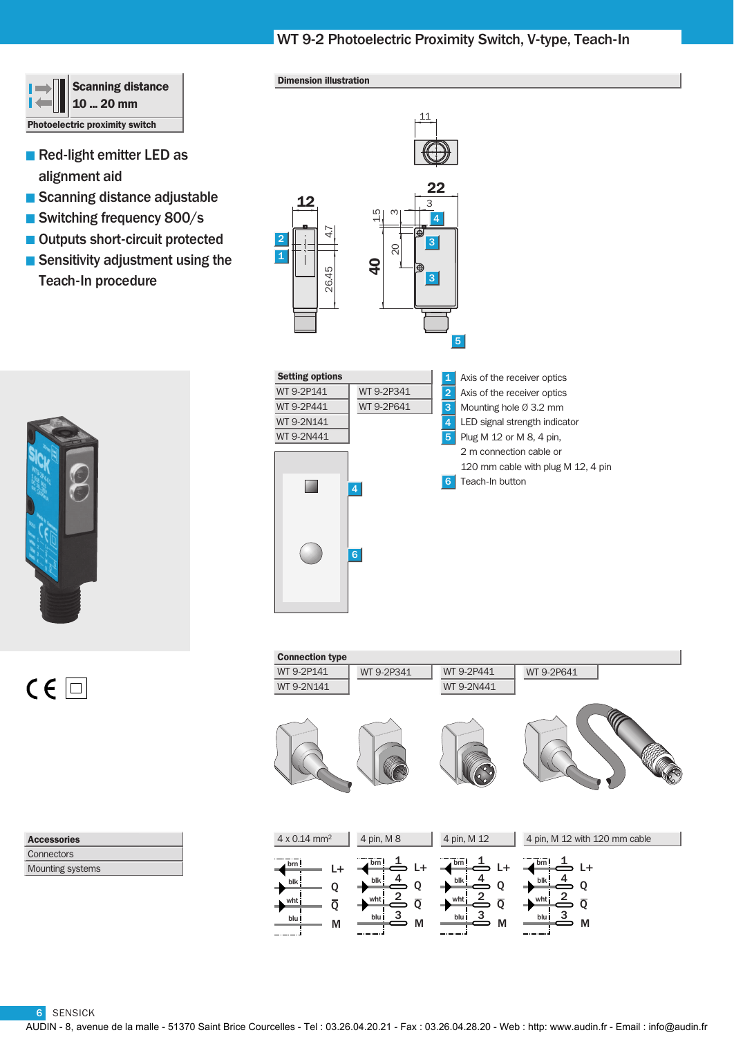# WT 9-2 Photoelectric Proximity Switch, V-type, Teach-In

11



- Red-light emitter LED as alignment aid
- Scanning distance adjustable
- Switching frequency 800/s
- Outputs short-circuit protected
- Sensitivity adjustment using the Teach-In procedure



 $C \in \Box$ 

Setting options Axis of the receiver optics Axis of the receiver optics Mounting hole Ø 3.2 mm Plug M 12 or M 8, 4 pin, 2 m connection cable or Teach-In button 1 2 3 4 5 6 WT 9-2P141 WT 9-2P441 WT 9-2N141 WT 9-2N441 4 6 WT 9-2P341 WT 9-2P641

Connection type  $\overline{1}$  + Q  $\overline{Q}$ M brn wht blu blk 4 pin, M 12 WT 9-2P441 WT 9-2N441  $\stackrel{1}{\Rightarrow}$  L+ Q  $\overline{Q}$ 4 2 3 M brn wht blu blk 4 pin, M 8  $\stackrel{1}{\Rightarrow}$  L+ Q  $\overline{O}$ 4 2 3 M brn wht blu blk 4 x 0.14 mm2  $L+$ Q  $\overline{Q}$ 4  $\overline{2}$ 3 M brn wht blu blk 4 pin, M 12 with 120 mm cable WT 9-2P141 WT 9-2P341 WT 9-2N141 WT 9-2P641

Mounting systems **Connectors** Accessories



Dimension illustration

| etting options |            | 1              | Axis of the receiver optics        |
|----------------|------------|----------------|------------------------------------|
| /Т 9-2P141     | WT 9-2P341 | $\overline{2}$ | Axis of the receiver optics        |
| T 9-2P441      | WT 9-2P641 | 3              | Mounting hole $\varnothing$ 3.2 mm |
| T 9-2N141      |            | 4              | LED signal strength indicator      |
| /T 9-2N441     |            | 5              | Plug M 12 or M 8, 4 pin,           |
|                |            |                | 2 m connection cable or            |
|                |            |                | 120 mm cable with plug M 12, 4 pin |
|                | 4.         | 6              | Teach-In button                    |
|                | 6          |                |                                    |

6 SENSICK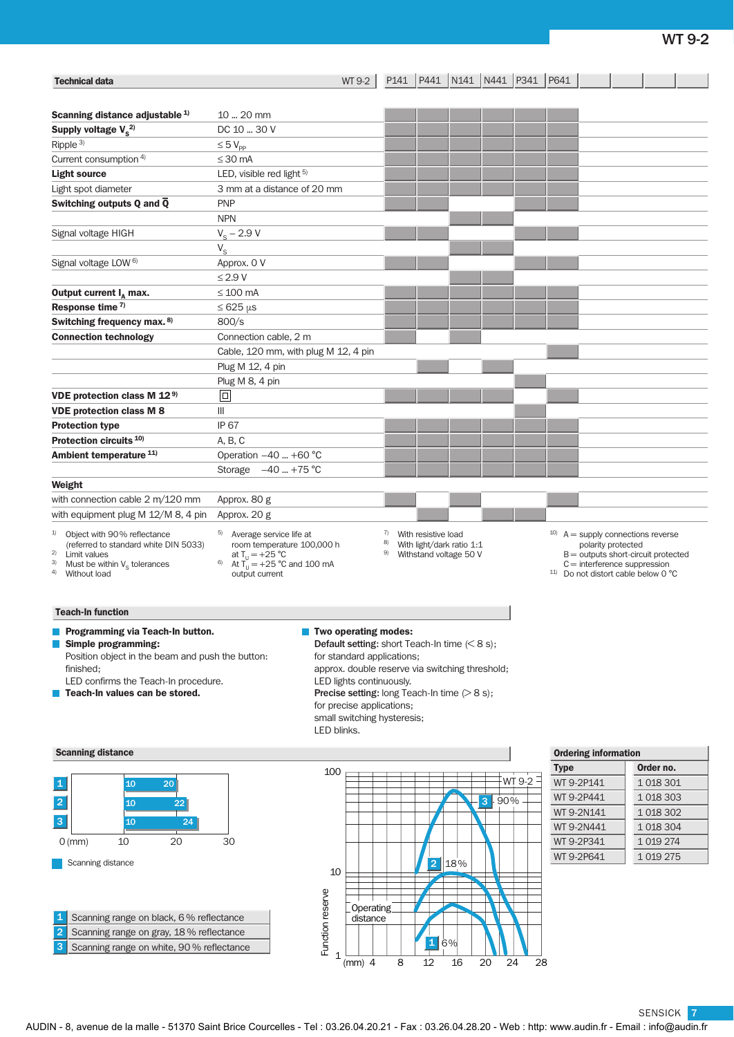| <b>Technical data</b>                                                                                                                                                                              | WT 9-2                                                                                                                                                                                                                                                                                                                                        | P141           |                     | P441 N141 N441                                      |                       | P341       | P641        |                                                                                                                                                                                                     |              |  |
|----------------------------------------------------------------------------------------------------------------------------------------------------------------------------------------------------|-----------------------------------------------------------------------------------------------------------------------------------------------------------------------------------------------------------------------------------------------------------------------------------------------------------------------------------------------|----------------|---------------------|-----------------------------------------------------|-----------------------|------------|-------------|-----------------------------------------------------------------------------------------------------------------------------------------------------------------------------------------------------|--------------|--|
|                                                                                                                                                                                                    |                                                                                                                                                                                                                                                                                                                                               |                |                     |                                                     |                       |            |             |                                                                                                                                                                                                     |              |  |
| Scanning distance adjustable <sup>1)</sup>                                                                                                                                                         | 10  20 mm                                                                                                                                                                                                                                                                                                                                     |                |                     |                                                     |                       |            |             |                                                                                                                                                                                                     |              |  |
| Supply voltage $V_s^{2)}$                                                                                                                                                                          | DC 10  30 V                                                                                                                                                                                                                                                                                                                                   |                |                     |                                                     |                       |            |             |                                                                                                                                                                                                     |              |  |
| Ripple $3)$                                                                                                                                                                                        | $\leq 5$ $V_{\text{pp}}$                                                                                                                                                                                                                                                                                                                      |                |                     |                                                     |                       |            |             |                                                                                                                                                                                                     |              |  |
| Current consumption <sup>4)</sup>                                                                                                                                                                  | $\leq$ 30 mA                                                                                                                                                                                                                                                                                                                                  |                |                     |                                                     |                       |            |             |                                                                                                                                                                                                     |              |  |
| <b>Light source</b>                                                                                                                                                                                | LED, visible red light 5)                                                                                                                                                                                                                                                                                                                     |                |                     |                                                     |                       |            |             |                                                                                                                                                                                                     |              |  |
| Light spot diameter                                                                                                                                                                                | 3 mm at a distance of 20 mm                                                                                                                                                                                                                                                                                                                   |                |                     |                                                     |                       |            |             |                                                                                                                                                                                                     |              |  |
| Switching outputs Q and $\overline{Q}$                                                                                                                                                             | <b>PNP</b>                                                                                                                                                                                                                                                                                                                                    |                |                     |                                                     |                       |            |             |                                                                                                                                                                                                     |              |  |
|                                                                                                                                                                                                    | <b>NPN</b>                                                                                                                                                                                                                                                                                                                                    |                |                     |                                                     |                       |            |             |                                                                                                                                                                                                     |              |  |
| Signal voltage HIGH                                                                                                                                                                                | $V_S - 2.9 V$                                                                                                                                                                                                                                                                                                                                 |                |                     |                                                     |                       |            |             |                                                                                                                                                                                                     |              |  |
|                                                                                                                                                                                                    | $V_{\rm S}$                                                                                                                                                                                                                                                                                                                                   |                |                     |                                                     |                       |            |             |                                                                                                                                                                                                     |              |  |
| Signal voltage LOW <sup>6)</sup>                                                                                                                                                                   | Approx. 0 V                                                                                                                                                                                                                                                                                                                                   |                |                     |                                                     |                       |            |             |                                                                                                                                                                                                     |              |  |
|                                                                                                                                                                                                    | $\leq$ 2.9 V                                                                                                                                                                                                                                                                                                                                  |                |                     |                                                     |                       |            |             |                                                                                                                                                                                                     |              |  |
| Output current $I_{\text{A}}$ max.                                                                                                                                                                 | $\leq$ 100 mA                                                                                                                                                                                                                                                                                                                                 |                |                     |                                                     |                       |            |             |                                                                                                                                                                                                     |              |  |
| Response time 7)                                                                                                                                                                                   | $\leq 625 \,\mu s$                                                                                                                                                                                                                                                                                                                            |                |                     |                                                     |                       |            |             |                                                                                                                                                                                                     |              |  |
| Switching frequency max. 8)                                                                                                                                                                        | 800/s                                                                                                                                                                                                                                                                                                                                         |                |                     |                                                     |                       |            |             |                                                                                                                                                                                                     |              |  |
| <b>Connection technology</b>                                                                                                                                                                       | Connection cable, 2 m                                                                                                                                                                                                                                                                                                                         |                |                     |                                                     |                       |            |             |                                                                                                                                                                                                     |              |  |
|                                                                                                                                                                                                    | Cable, 120 mm, with plug M 12, 4 pin                                                                                                                                                                                                                                                                                                          |                |                     |                                                     |                       |            |             |                                                                                                                                                                                                     |              |  |
|                                                                                                                                                                                                    | Plug M 12, 4 pin                                                                                                                                                                                                                                                                                                                              |                |                     |                                                     |                       |            |             |                                                                                                                                                                                                     |              |  |
|                                                                                                                                                                                                    | Plug M 8, 4 pin                                                                                                                                                                                                                                                                                                                               |                |                     |                                                     |                       |            |             |                                                                                                                                                                                                     |              |  |
| VDE protection class M 12 <sup>9)</sup>                                                                                                                                                            | $\Box$                                                                                                                                                                                                                                                                                                                                        |                |                     |                                                     |                       |            |             |                                                                                                                                                                                                     |              |  |
| <b>VDE protection class M 8</b>                                                                                                                                                                    | Ш                                                                                                                                                                                                                                                                                                                                             |                |                     |                                                     |                       |            |             |                                                                                                                                                                                                     |              |  |
| <b>Protection type</b>                                                                                                                                                                             | IP 67                                                                                                                                                                                                                                                                                                                                         |                |                     |                                                     |                       |            |             |                                                                                                                                                                                                     |              |  |
| Protection circuits <sup>10)</sup>                                                                                                                                                                 | A, B, C                                                                                                                                                                                                                                                                                                                                       |                |                     |                                                     |                       |            |             |                                                                                                                                                                                                     |              |  |
| Ambient temperature <sup>11)</sup>                                                                                                                                                                 | Operation -40  +60 °C                                                                                                                                                                                                                                                                                                                         |                |                     |                                                     |                       |            |             |                                                                                                                                                                                                     |              |  |
|                                                                                                                                                                                                    | Storage $-40$ +75 °C                                                                                                                                                                                                                                                                                                                          |                |                     |                                                     |                       |            |             |                                                                                                                                                                                                     |              |  |
| Weight                                                                                                                                                                                             |                                                                                                                                                                                                                                                                                                                                               |                |                     |                                                     |                       |            |             |                                                                                                                                                                                                     |              |  |
| with connection cable 2 m/120 mm                                                                                                                                                                   | Approx. 80 g                                                                                                                                                                                                                                                                                                                                  |                |                     |                                                     |                       |            |             |                                                                                                                                                                                                     |              |  |
| with equipment plug M 12/M 8, 4 pin                                                                                                                                                                | Approx. 20 g                                                                                                                                                                                                                                                                                                                                  |                |                     |                                                     |                       |            |             |                                                                                                                                                                                                     |              |  |
| Object with 90% reflectance<br>1)<br>(referred to standard white DIN 5033)<br>2)<br>Limit values<br>3)<br>Must be within $V_{\rm s}$ tolerances<br>4)<br>Without load                              | 5) Average service life at<br>room temperature 100,000 h<br>at $T_U = +25 °C$<br>At $T_U = +25 °C$ and 100 mA<br>output current                                                                                                                                                                                                               | 7)<br>8)<br>9) | With resistive load | With light/dark ratio 1:1<br>Withstand voltage 50 V |                       |            |             | $^{10}$ A = supply connections reverse<br>polarity protected<br>$B =$ outputs short-circuit protected<br>$C =$ interference suppression<br><sup>11)</sup> Do not distort cable below 0 $^{\circ}$ C |              |  |
| <b>Teach-In function</b>                                                                                                                                                                           |                                                                                                                                                                                                                                                                                                                                               |                |                     |                                                     |                       |            |             |                                                                                                                                                                                                     |              |  |
| Programming via Teach-In button.<br>Simple programming:<br>Position object in the beam and push the button:<br>finished:<br>LED confirms the Teach-In procedure.<br>Teach-In values can be stored. | <b>Two operating modes:</b><br><b>Default setting:</b> short Teach-In time $(68 s)$ ;<br>for standard applications;<br>approx. double reserve via switching threshold;<br>LED lights continuously.<br><b>Precise setting:</b> long Teach-In time $(>8 \text{ s});$<br>for precise applications;<br>small switching hysteresis;<br>LED blinks. |                |                     |                                                     |                       |            |             |                                                                                                                                                                                                     |              |  |
| <b>Scanning distance</b>                                                                                                                                                                           |                                                                                                                                                                                                                                                                                                                                               |                |                     |                                                     |                       |            |             | <b>Ordering information</b>                                                                                                                                                                         |              |  |
|                                                                                                                                                                                                    | 100                                                                                                                                                                                                                                                                                                                                           |                |                     |                                                     |                       |            | <b>Type</b> |                                                                                                                                                                                                     | Order no.    |  |
| 10<br>20 <sup>°</sup><br>1                                                                                                                                                                         |                                                                                                                                                                                                                                                                                                                                               |                |                     |                                                     |                       | $WT 9-2$ – |             | WT 9-2P141                                                                                                                                                                                          | 1 0 18 3 0 1 |  |
| $\overline{2}$<br>10<br>22                                                                                                                                                                         |                                                                                                                                                                                                                                                                                                                                               |                |                     |                                                     | $\overline{3}$<br>90% |            |             | WT 9-2P441                                                                                                                                                                                          | 1 0 18 3 03  |  |
| 3 <sup>°</sup>                                                                                                                                                                                     |                                                                                                                                                                                                                                                                                                                                               |                |                     |                                                     |                       |            |             | WT 9-2N141                                                                                                                                                                                          | 1 0 18 3 0 2 |  |
| 10<br>24                                                                                                                                                                                           |                                                                                                                                                                                                                                                                                                                                               |                |                     |                                                     |                       |            |             | WT 9-2N441                                                                                                                                                                                          | 1 0 18 3 0 4 |  |
| 20<br>10<br>$O$ (mm)                                                                                                                                                                               | 30                                                                                                                                                                                                                                                                                                                                            |                |                     |                                                     |                       |            |             | WT 9-2P341                                                                                                                                                                                          | 1 0 19 2 74  |  |
| Scanning distance                                                                                                                                                                                  | 10                                                                                                                                                                                                                                                                                                                                            |                | $\overline{2}$      | 18%                                                 |                       |            |             | WT 9-2P641                                                                                                                                                                                          | 1 0 19 2 75  |  |

Scanning range on white, 90 % reflectance 2 Scanning range on gray, 18 % reflectance 1 Scanning range on black, 6 % reflectance 3

 $\begin{array}{c|c}\n\text{y} & \text{Operator} \\
\text{c} & \text{distance} \\
\text{c} & \text{distance} \\
\text{c} & \text{time} \\
\text{c} & \text{time} \\
\text{c} & \text{time} \\
\text{c} & \text{time} \\
\text{c} & \text{time} \\
\text{c} & \text{time} \\
\text{c} & \text{time} \\
\text{c} & \text{time} \\
\text{c} & \text{time} \\
\text{c} & \text{time} \\
\text{c} & \text{time} \\
\text{c} & \text{time} \\
\text{c} & \text{time} \\
\text{c} & \text{time} \\
\text{c} &$ 8 12 16 20 24 28 Function reserve 6% Operating distance

SENSICK 7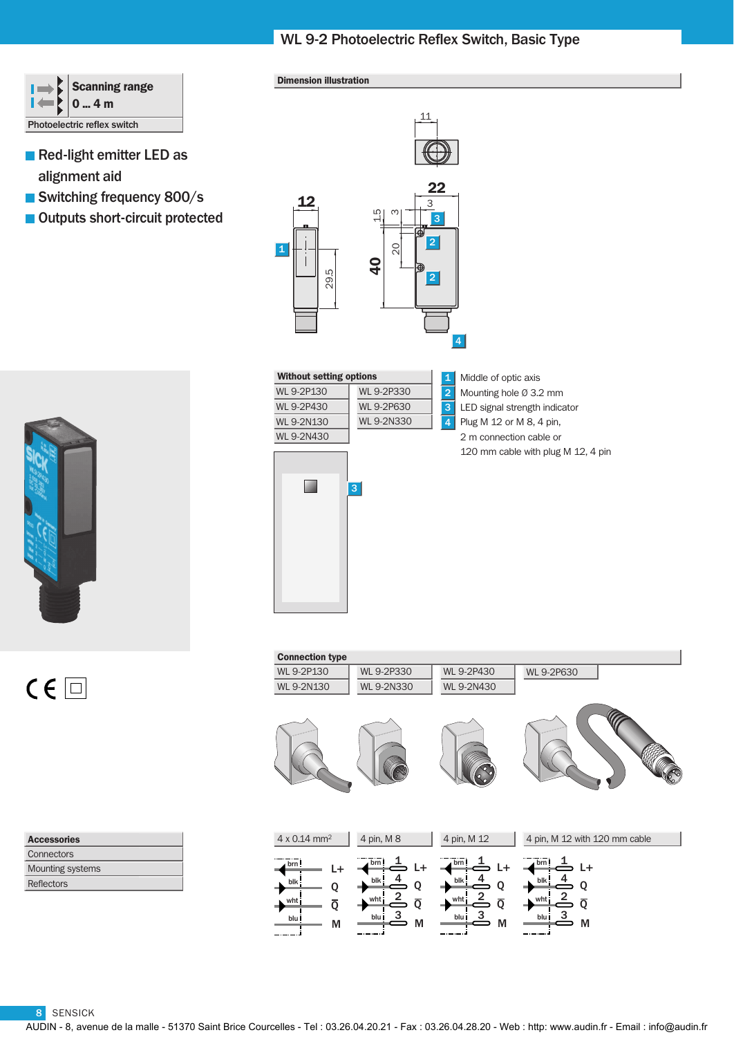# WL 9-2 Photoelectric Reflex Switch, Basic Type



- Red-light emitter LED as alignment aid
- Switching frequency 800/s
- Outputs short-circuit protected



 $C \in \Box$ 

| <b>Accessories</b>      |
|-------------------------|
| Connectors              |
| <b>Mounting systems</b> |
| Reflectors              |

### Dimension illustration



### Without setting options

| WI 9-2P130        | WL 9-2P330        |
|-------------------|-------------------|
| WI 9-2P430        | WI 9-2P630        |
| WI 9-2N130        | <b>WL 9-2N330</b> |
| <b>MI 9-2N430</b> |                   |

1 Middle of optic axis Mounting hole Ø 3.2 mm LED signal strength indicator Plug M 12 or M 8, 4 pin,  $\overline{2}$ 3 4

2 m connection cable or 120 mm cable with plug M 12, 4 pin



| <b>Connection type</b>                                       |                                                                                         |                                                                     |                                                                                         |
|--------------------------------------------------------------|-----------------------------------------------------------------------------------------|---------------------------------------------------------------------|-----------------------------------------------------------------------------------------|
| WL 9-2P130                                                   | <b>WL 9-2P330</b>                                                                       | WL 9-2P430                                                          | <b>WL 9-2P630</b>                                                                       |
| <b>WL 9-2N130</b>                                            | <b>WL 9-2N330</b>                                                                       | <b>WL 9-2N430</b>                                                   |                                                                                         |
|                                                              |                                                                                         |                                                                     |                                                                                         |
| $4 \times 0.14$ mm <sup>2</sup>                              | 4 pin, M 8                                                                              | 4 pin, M 12                                                         | 4 pin, M 12 with 120 mm cable                                                           |
| brn!<br>۰<br>blk<br>Q<br>wht<br>$\overline{Q}$<br>blu i<br>М | brn!<br>L+<br>blk<br>Q<br>$\stackrel{2}{=}$<br>wht<br>$\overline{Q}$<br>3<br>blu İ<br>M | brn!<br>L+<br>blk<br>Q<br>whti<br>$\overline{Q}$<br>3<br>blu İ<br>M | brn!<br>L+<br>blk<br>Q<br>$\stackrel{2}{=}$<br>wht<br>$\overline{Q}$<br>3<br>blu İ<br>M |

8 SENSICK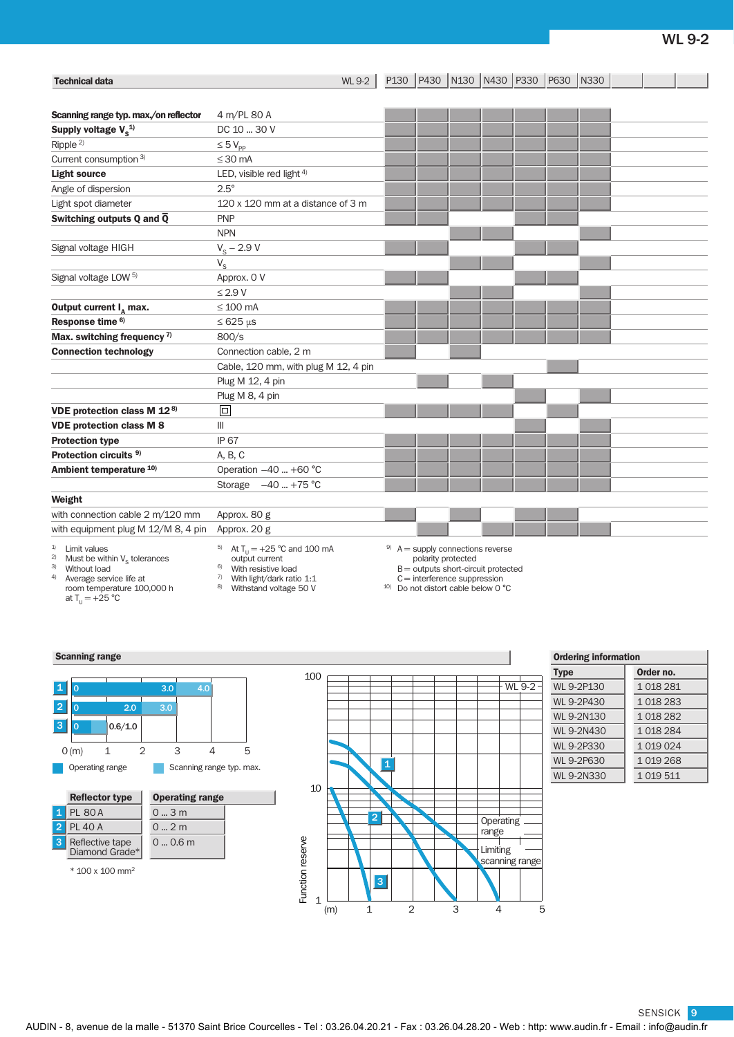| <b>Technical data</b>                                                       | <b>WL 9-2</b>                                                          |                    | P130 P430 N130 N430 P330 P630 N330 |  |  |  |  |
|-----------------------------------------------------------------------------|------------------------------------------------------------------------|--------------------|------------------------------------|--|--|--|--|
|                                                                             |                                                                        |                    |                                    |  |  |  |  |
| Scanning range typ. max./on reflector                                       | 4 m/PL 80 A                                                            |                    |                                    |  |  |  |  |
| Supply voltage $V_c^{1/2}$                                                  | DC 10  30 V                                                            |                    |                                    |  |  |  |  |
| Ripple <sup>2)</sup>                                                        |                                                                        |                    |                                    |  |  |  |  |
| Current consumption 3)                                                      | $\leq 5$ $V_{\text{pp}}$<br>$\leq 30$ mA                               |                    |                                    |  |  |  |  |
| <b>Light source</b>                                                         | LED, visible red light $4$ )                                           |                    |                                    |  |  |  |  |
|                                                                             | $2.5^\circ$                                                            |                    |                                    |  |  |  |  |
| Angle of dispersion                                                         |                                                                        |                    |                                    |  |  |  |  |
| Light spot diameter                                                         | 120 x 120 mm at a distance of 3 m<br><b>PNP</b>                        |                    |                                    |  |  |  |  |
| Switching outputs Q and $\overline{Q}$                                      |                                                                        |                    |                                    |  |  |  |  |
|                                                                             | <b>NPN</b>                                                             |                    |                                    |  |  |  |  |
| Signal voltage HIGH                                                         | $V_{\rm s}$ – 2.9 V                                                    |                    |                                    |  |  |  |  |
|                                                                             | $V_{\rm S}$                                                            |                    |                                    |  |  |  |  |
| Signal voltage LOW <sup>5)</sup>                                            | Approx. 0 V                                                            |                    |                                    |  |  |  |  |
|                                                                             | $\leq$ 2.9 V                                                           |                    |                                    |  |  |  |  |
| Output current $I_{\alpha}$ max.                                            | $\leq 100$ mA                                                          |                    |                                    |  |  |  |  |
| Response time <sup>6)</sup>                                                 | $\leq 625 \,\mu s$                                                     |                    |                                    |  |  |  |  |
| Max. switching frequency $7$                                                | 800/s                                                                  |                    |                                    |  |  |  |  |
| <b>Connection technology</b>                                                | Connection cable, 2 m                                                  |                    |                                    |  |  |  |  |
|                                                                             | Cable, 120 mm, with plug M 12, 4 pin                                   |                    |                                    |  |  |  |  |
|                                                                             | Plug M 12, 4 pin                                                       |                    |                                    |  |  |  |  |
|                                                                             | Plug M 8, 4 pin                                                        |                    |                                    |  |  |  |  |
| VDE protection class M 12 <sup>8)</sup>                                     | $\boxed{\Box}$                                                         |                    |                                    |  |  |  |  |
| <b>VDE protection class M 8</b>                                             | Ш                                                                      |                    |                                    |  |  |  |  |
| <b>Protection type</b>                                                      | <b>IP 67</b>                                                           |                    |                                    |  |  |  |  |
| Protection circuits <sup>9)</sup>                                           | A, B, C                                                                |                    |                                    |  |  |  |  |
| Ambient temperature 10)                                                     | Operation -40  +60 °C                                                  |                    |                                    |  |  |  |  |
|                                                                             | Storage $-40$ +75 °C                                                   |                    |                                    |  |  |  |  |
| Weight                                                                      |                                                                        |                    |                                    |  |  |  |  |
| with connection cable 2 m/120 mm                                            | Approx. 80 g                                                           |                    |                                    |  |  |  |  |
| with equipment plug M 12/M 8, 4 pin                                         | Approx. 20 g                                                           |                    |                                    |  |  |  |  |
| <sup>1)</sup> Limit values<br><sup>2)</sup> Must be within $V_c$ tolerances | <sup>5)</sup> At T <sub>11</sub> = +25 °C and 100 mA<br>output current | polarity protected | $9$ A = supply connections reverse |  |  |  |  |

<sup>3)</sup> Without load<br><sup>4)</sup> Average servi

4) Average service life at room temperature 100,000 h

at  $T_U = +25 °C$ 

- output current<br><sup>6)</sup> With resistive load
- 7) With light/dark ratio 1:1
- 8) Withstand voltage 50 V

B = outputs short-circuit protected

 $C =$  interference suppression<br>
<sup>10)</sup> Do not distort cable below 0 °C

### **Scanning range**





| <b>Ordering information</b> |  |  |  |  |  |  |
|-----------------------------|--|--|--|--|--|--|
| Order no.                   |  |  |  |  |  |  |
| 1 018 281                   |  |  |  |  |  |  |
| 1 018 283                   |  |  |  |  |  |  |
| 1 018 282                   |  |  |  |  |  |  |
| 1 018 284                   |  |  |  |  |  |  |
| 1 019 024                   |  |  |  |  |  |  |
| 1 019 268                   |  |  |  |  |  |  |
| 1 019 511                   |  |  |  |  |  |  |
|                             |  |  |  |  |  |  |

SENSICK 9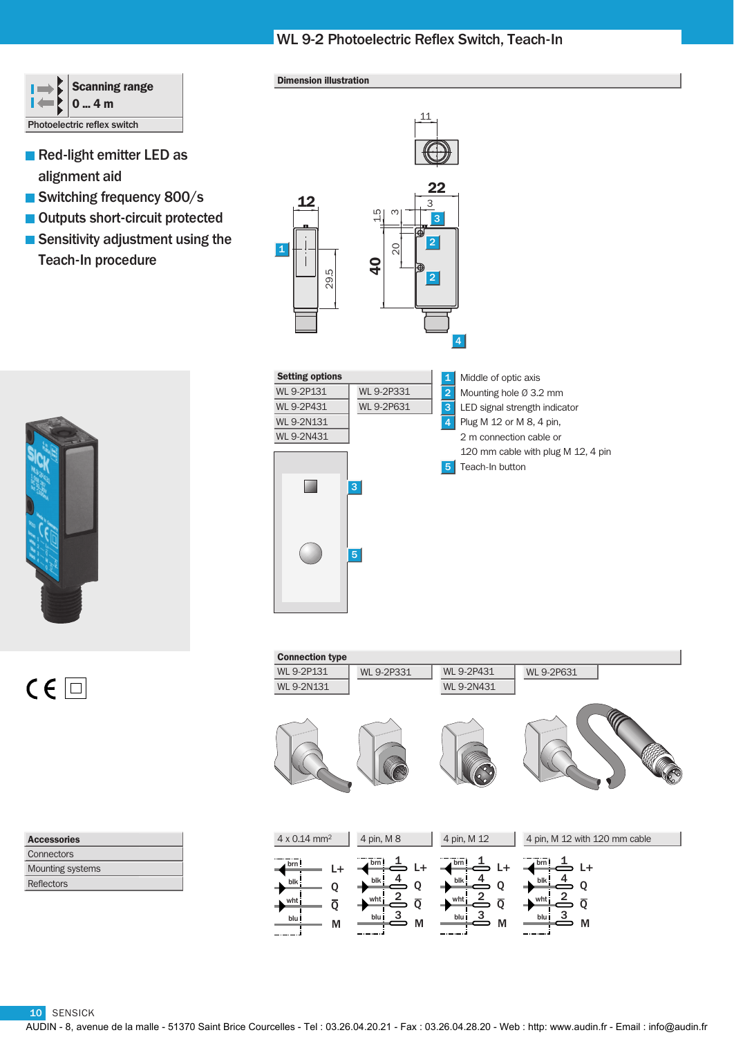# WL 9-2 Photoelectric Reflex Switch, Teach-In

|                             | Scanning range<br>$2^{10}$ 4 m |  |  |
|-----------------------------|--------------------------------|--|--|
| Photoelectric reflex switch |                                |  |  |

- Red-light emitter LED as alignment aid
- Switching frequency 800/s
- Outputs short-circuit protected
- Sensitivity adjustment using the Teach-In procedure





| <b>Accessories</b>      |  |  |
|-------------------------|--|--|
| Connectors              |  |  |
| <b>Mounting systems</b> |  |  |
| Reflectors              |  |  |

### Dimension illustration





| <b>Connection type</b>                                |                                                                                                                    |                                                                                   |                                                                                                             |
|-------------------------------------------------------|--------------------------------------------------------------------------------------------------------------------|-----------------------------------------------------------------------------------|-------------------------------------------------------------------------------------------------------------|
| <b>WL 9-2P131</b>                                     | WL 9-2P331                                                                                                         | <b>WL 9-2P431</b>                                                                 | WL 9-2P631                                                                                                  |
| <b>WL 9-2N131</b>                                     |                                                                                                                    | <b>WL 9-2N431</b>                                                                 |                                                                                                             |
|                                                       |                                                                                                                    |                                                                                   |                                                                                                             |
| 4 x 0.14 mm <sup>2</sup>                              | 4 pin, M 8                                                                                                         | 4 pin, M 12                                                                       | 4 pin, M 12 with 120 mm cable                                                                               |
| brn!<br>L+<br>blk<br>Q<br>۰<br>wht<br>ō<br>blu i<br>M | brn!<br>L+<br>$\frac{4}{}$<br>blk :<br>Q<br>$\frac{2}{ }$<br>wht<br>$\overline{Q}$<br>$\overline{3}$<br>blu İ<br>M | brn!<br>L+<br>blk<br>Q<br>2<br>whti<br>$\overline{\mathsf{Q}}$<br>3<br>blu İ<br>M | brn!<br>$L+$<br>blk<br>Q<br>$\stackrel{2}{\equiv}$<br>wht<br>$\overline{Q}$<br>$\overline{3}$<br>blu İ<br>M |

10 SENSICK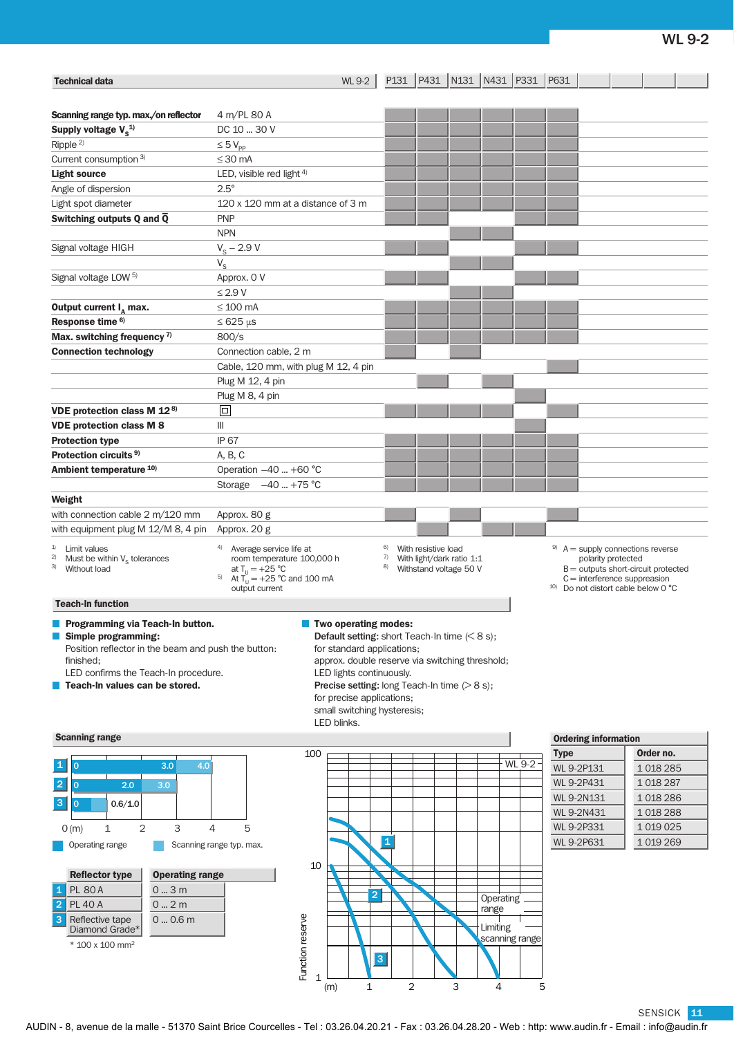| <b>Technical data</b>                                                                                                                                                                                                 |                                                                                                                                                  | <b>WL 9-2</b>                                                                                                                                                                                                                                                                                                                    |                |                                                                            |   | P131   P431   N131   N431   P331   P631          |                                                                                                                                    |                                       |
|-----------------------------------------------------------------------------------------------------------------------------------------------------------------------------------------------------------------------|--------------------------------------------------------------------------------------------------------------------------------------------------|----------------------------------------------------------------------------------------------------------------------------------------------------------------------------------------------------------------------------------------------------------------------------------------------------------------------------------|----------------|----------------------------------------------------------------------------|---|--------------------------------------------------|------------------------------------------------------------------------------------------------------------------------------------|---------------------------------------|
| Scanning range typ. max./on reflector                                                                                                                                                                                 | 4 m/PL 80 A                                                                                                                                      |                                                                                                                                                                                                                                                                                                                                  |                |                                                                            |   |                                                  |                                                                                                                                    |                                       |
| Supply voltage $V_s^{1/2}$                                                                                                                                                                                            | DC 10  30 V                                                                                                                                      |                                                                                                                                                                                                                                                                                                                                  |                |                                                                            |   |                                                  |                                                                                                                                    |                                       |
| Ripple $^{2)}$                                                                                                                                                                                                        | $\leq 5 V_{\text{pp}}$                                                                                                                           |                                                                                                                                                                                                                                                                                                                                  |                |                                                                            |   |                                                  |                                                                                                                                    |                                       |
| Current consumption 3)                                                                                                                                                                                                | $\leq 30$ mA                                                                                                                                     |                                                                                                                                                                                                                                                                                                                                  |                |                                                                            |   |                                                  |                                                                                                                                    |                                       |
| <b>Light source</b>                                                                                                                                                                                                   | LED, visible red light $4$ )                                                                                                                     |                                                                                                                                                                                                                                                                                                                                  |                |                                                                            |   |                                                  |                                                                                                                                    |                                       |
| Angle of dispersion                                                                                                                                                                                                   | $2.5^\circ$                                                                                                                                      |                                                                                                                                                                                                                                                                                                                                  |                |                                                                            |   |                                                  |                                                                                                                                    |                                       |
| Light spot diameter                                                                                                                                                                                                   | 120 x 120 mm at a distance of 3 m                                                                                                                |                                                                                                                                                                                                                                                                                                                                  |                |                                                                            |   |                                                  |                                                                                                                                    |                                       |
| Switching outputs Q and Q                                                                                                                                                                                             | <b>PNP</b>                                                                                                                                       |                                                                                                                                                                                                                                                                                                                                  |                |                                                                            |   |                                                  |                                                                                                                                    |                                       |
|                                                                                                                                                                                                                       | <b>NPN</b>                                                                                                                                       |                                                                                                                                                                                                                                                                                                                                  |                |                                                                            |   |                                                  |                                                                                                                                    |                                       |
|                                                                                                                                                                                                                       |                                                                                                                                                  |                                                                                                                                                                                                                                                                                                                                  |                |                                                                            |   |                                                  |                                                                                                                                    |                                       |
| Signal voltage HIGH                                                                                                                                                                                                   | $V_{\rm s}$ – 2.9 V                                                                                                                              |                                                                                                                                                                                                                                                                                                                                  |                |                                                                            |   |                                                  |                                                                                                                                    |                                       |
| Signal voltage LOW <sup>5)</sup>                                                                                                                                                                                      | $V_{\rm S}$<br>Approx. 0 V                                                                                                                       |                                                                                                                                                                                                                                                                                                                                  |                |                                                                            |   |                                                  |                                                                                                                                    |                                       |
|                                                                                                                                                                                                                       | $\leq$ 2.9 V                                                                                                                                     |                                                                                                                                                                                                                                                                                                                                  |                |                                                                            |   |                                                  |                                                                                                                                    |                                       |
|                                                                                                                                                                                                                       |                                                                                                                                                  |                                                                                                                                                                                                                                                                                                                                  |                |                                                                            |   |                                                  |                                                                                                                                    |                                       |
| Output current $I_{\text{A}}$ max.                                                                                                                                                                                    | $\leq 100$ mA                                                                                                                                    |                                                                                                                                                                                                                                                                                                                                  |                |                                                                            |   |                                                  |                                                                                                                                    |                                       |
| Response time <sup>6)</sup>                                                                                                                                                                                           | $\leq 625 \,\mu s$                                                                                                                               |                                                                                                                                                                                                                                                                                                                                  |                |                                                                            |   |                                                  |                                                                                                                                    |                                       |
| Max. switching frequency 7)                                                                                                                                                                                           | 800/s                                                                                                                                            |                                                                                                                                                                                                                                                                                                                                  |                |                                                                            |   |                                                  |                                                                                                                                    |                                       |
| <b>Connection technology</b>                                                                                                                                                                                          | Connection cable, 2 m                                                                                                                            |                                                                                                                                                                                                                                                                                                                                  |                |                                                                            |   |                                                  |                                                                                                                                    |                                       |
|                                                                                                                                                                                                                       | Cable, 120 mm, with plug M 12, 4 pin                                                                                                             |                                                                                                                                                                                                                                                                                                                                  |                |                                                                            |   |                                                  |                                                                                                                                    |                                       |
|                                                                                                                                                                                                                       | Plug M 12, 4 pin                                                                                                                                 |                                                                                                                                                                                                                                                                                                                                  |                |                                                                            |   |                                                  |                                                                                                                                    |                                       |
|                                                                                                                                                                                                                       | Plug M 8, 4 pin                                                                                                                                  |                                                                                                                                                                                                                                                                                                                                  |                |                                                                            |   |                                                  |                                                                                                                                    |                                       |
| VDE protection class M 12 <sup>8)</sup>                                                                                                                                                                               | $\boxed{\square}$                                                                                                                                |                                                                                                                                                                                                                                                                                                                                  |                |                                                                            |   |                                                  |                                                                                                                                    |                                       |
| <b>VDE protection class M 8</b>                                                                                                                                                                                       | Ш                                                                                                                                                |                                                                                                                                                                                                                                                                                                                                  |                |                                                                            |   |                                                  |                                                                                                                                    |                                       |
| <b>Protection type</b>                                                                                                                                                                                                | <b>IP 67</b>                                                                                                                                     |                                                                                                                                                                                                                                                                                                                                  |                |                                                                            |   |                                                  |                                                                                                                                    |                                       |
| Protection circuits <sup>9)</sup>                                                                                                                                                                                     | A, B, C                                                                                                                                          |                                                                                                                                                                                                                                                                                                                                  |                |                                                                            |   |                                                  |                                                                                                                                    |                                       |
| Ambient temperature 10)                                                                                                                                                                                               | Operation $-40$ +60 °C                                                                                                                           |                                                                                                                                                                                                                                                                                                                                  |                |                                                                            |   |                                                  |                                                                                                                                    |                                       |
|                                                                                                                                                                                                                       | Storage $-40$ +75 °C                                                                                                                             |                                                                                                                                                                                                                                                                                                                                  |                |                                                                            |   |                                                  |                                                                                                                                    |                                       |
| Weight                                                                                                                                                                                                                |                                                                                                                                                  |                                                                                                                                                                                                                                                                                                                                  |                |                                                                            |   |                                                  |                                                                                                                                    |                                       |
| with connection cable 2 m/120 mm                                                                                                                                                                                      | Approx. 80 g                                                                                                                                     |                                                                                                                                                                                                                                                                                                                                  |                |                                                                            |   |                                                  |                                                                                                                                    |                                       |
| with equipment plug M 12/M 8, 4 pin                                                                                                                                                                                   | Approx. 20 g                                                                                                                                     |                                                                                                                                                                                                                                                                                                                                  |                |                                                                            |   |                                                  |                                                                                                                                    |                                       |
| Limit values<br>2)<br>Must be within $V_s$ tolerances<br>3) Without load                                                                                                                                              | 4)<br>Average service life at<br>room temperature 100,000 h<br>at $T_{11} = +25 °C$<br>At $T_{11}^0$ = +25 °C and 100 mA<br>5)<br>output current |                                                                                                                                                                                                                                                                                                                                  | 6)<br>7)<br>8) | With resistive load<br>With light/dark ratio 1:1<br>Withstand voltage 50 V |   |                                                  | $9$ A = supply connections reverse<br>polarity protected<br>$C =$ interference suppreasion<br>$10$ Do not distort cable below 0 °C | $B =$ outputs short-circuit protected |
| <b>Teach-In function</b>                                                                                                                                                                                              |                                                                                                                                                  |                                                                                                                                                                                                                                                                                                                                  |                |                                                                            |   |                                                  |                                                                                                                                    |                                       |
| Programming via Teach-In button.<br>Simple programming:<br>Position reflector in the beam and push the button:<br>finished:<br>LED confirms the Teach-In procedure.<br>Teach-In values can be stored.                 |                                                                                                                                                  | <b>Two operating modes:</b><br>Default setting: short Teach-In time $(< 8 s)$ ;<br>for standard applications;<br>approx. double reserve via switching threshold;<br>LED lights continuously.<br><b>Precise setting:</b> long Teach-In time $(>8 s)$ ;<br>for precise applications;<br>small switching hysteresis;<br>LED blinks. |                |                                                                            |   |                                                  |                                                                                                                                    |                                       |
| <b>Scanning range</b>                                                                                                                                                                                                 |                                                                                                                                                  |                                                                                                                                                                                                                                                                                                                                  |                |                                                                            |   |                                                  | <b>Ordering information</b>                                                                                                        |                                       |
|                                                                                                                                                                                                                       | 100                                                                                                                                              |                                                                                                                                                                                                                                                                                                                                  |                |                                                                            |   |                                                  | <b>Type</b>                                                                                                                        | Order no.                             |
| $\mathbf 1$<br>3.0<br>$\mathbf{O}$<br>4.0                                                                                                                                                                             |                                                                                                                                                  |                                                                                                                                                                                                                                                                                                                                  |                |                                                                            |   | <b>WL 9-2</b>                                    | WL 9-2P131                                                                                                                         | 1018285                               |
| $\overline{2}$<br>2.0<br>3.0<br>$\mathbf{O}$                                                                                                                                                                          |                                                                                                                                                  |                                                                                                                                                                                                                                                                                                                                  |                |                                                                            |   |                                                  | WL 9-2P431                                                                                                                         | 1 018 287                             |
| 3                                                                                                                                                                                                                     |                                                                                                                                                  |                                                                                                                                                                                                                                                                                                                                  |                |                                                                            |   |                                                  | WL 9-2N131                                                                                                                         | 1018286                               |
| 0.6/1.0<br>$\mathbf 0$                                                                                                                                                                                                |                                                                                                                                                  |                                                                                                                                                                                                                                                                                                                                  |                |                                                                            |   |                                                  | WL 9-2N431                                                                                                                         | 1018288                               |
| 3<br>2<br>1<br>O(m)                                                                                                                                                                                                   | 5<br>4                                                                                                                                           |                                                                                                                                                                                                                                                                                                                                  |                |                                                                            |   |                                                  | <b>WL 9-2P331</b>                                                                                                                  | 1 0 1 0 0 2 5                         |
| Operating range                                                                                                                                                                                                       | Scanning range typ. max.                                                                                                                         |                                                                                                                                                                                                                                                                                                                                  | $\mathbf{1}$   |                                                                            |   |                                                  | WL 9-2P631                                                                                                                         | 1 0 19 2 69                           |
| <b>Reflector type</b><br><b>Operating range</b><br><b>PL 80 A</b><br>03m<br>1<br>$\overline{2}$<br><b>PL 40 A</b><br>$0 - 2m$<br>3<br>$0 - 0.6$ m<br>Reflective tape<br>Diamond Grade*<br>* 100 x 100 mm <sup>2</sup> | 10<br>Function reserve                                                                                                                           | $\overline{2}$<br> 3                                                                                                                                                                                                                                                                                                             |                |                                                                            |   | Operating<br>range<br>Limiting<br>scanning range |                                                                                                                                    |                                       |
|                                                                                                                                                                                                                       | $\mathbf{1}$                                                                                                                                     | $\mathbf{1}$<br>(m)                                                                                                                                                                                                                                                                                                              | $\overline{2}$ |                                                                            | 3 | 4                                                | 5                                                                                                                                  |                                       |

SENSICK 11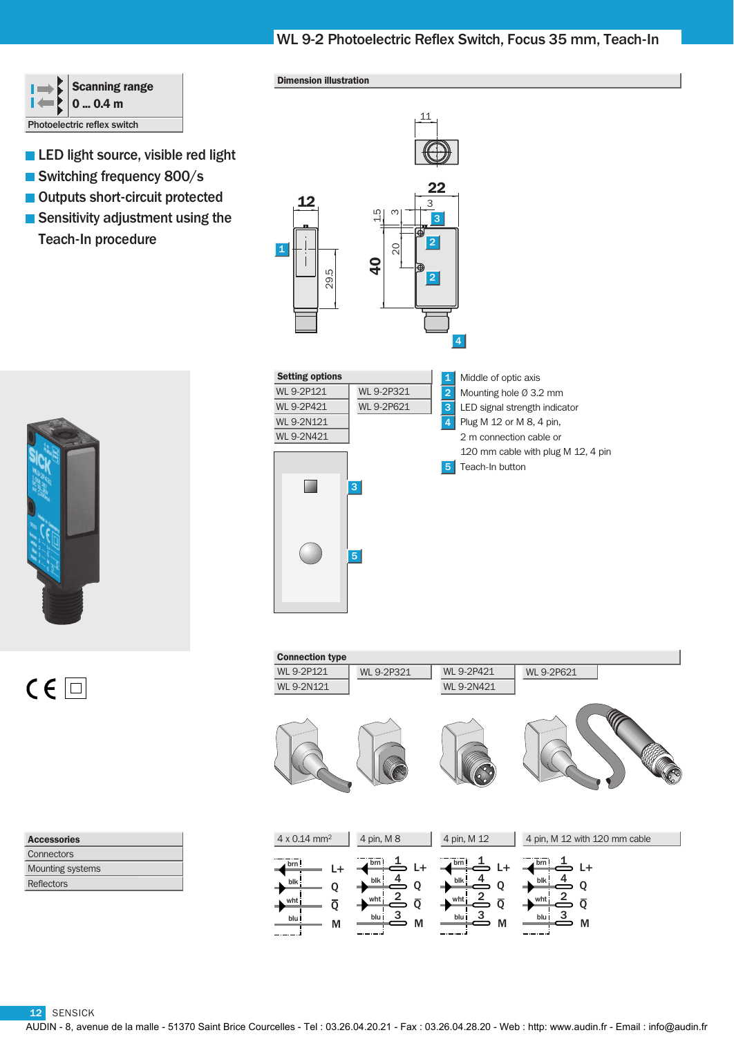# WL 9-2 Photoelectric Reflex Switch, Focus 35 mm, Teach-In



- **LED** light source, visible red light
- Switching frequency 800/s
- Outputs short-circuit protected
- Sensitivity adjustment using the Teach-In procedure





| <b>Accessories</b>      |
|-------------------------|
| Connectors              |
| <b>Mounting systems</b> |
| Reflectors              |

### Dimension illustration





| <b>Connection type</b>                                                        |                                                                                            |                                                                         |                                                                                     |
|-------------------------------------------------------------------------------|--------------------------------------------------------------------------------------------|-------------------------------------------------------------------------|-------------------------------------------------------------------------------------|
| <b>WL 9-2P121</b>                                                             | WL 9-2P321                                                                                 | <b>WL 9-2P421</b>                                                       | WL 9-2P621                                                                          |
| <b>WL 9-2N121</b>                                                             |                                                                                            | WL 9-2N421                                                              |                                                                                     |
|                                                                               |                                                                                            |                                                                         |                                                                                     |
| 4 x 0.14 mm <sup>2</sup>                                                      | 4 pin, M 8                                                                                 | 4 pin, M 12                                                             | 4 pin, M 12 with 120 mm cable                                                       |
| brn!<br>L+<br>blk<br>$\overline{\phantom{a}}$<br>Q<br>whti<br>Ō<br>blu İ<br>М | brn!<br>L+<br>4<br>blk!<br>Q<br>$\overline{2}$<br>wht<br>$\overline{Q}$<br>3<br>blu İ<br>M | brn!<br>L+<br>$blk$ !<br>Q<br>whti<br>$\overline{Q}$<br>3<br>blu İ<br>M | brn!<br>$L+$<br>blk<br>Q<br>$\mathbf 2$<br>wht<br>$\overline{Q}$<br>3<br>blu i<br>M |

12 SENSICK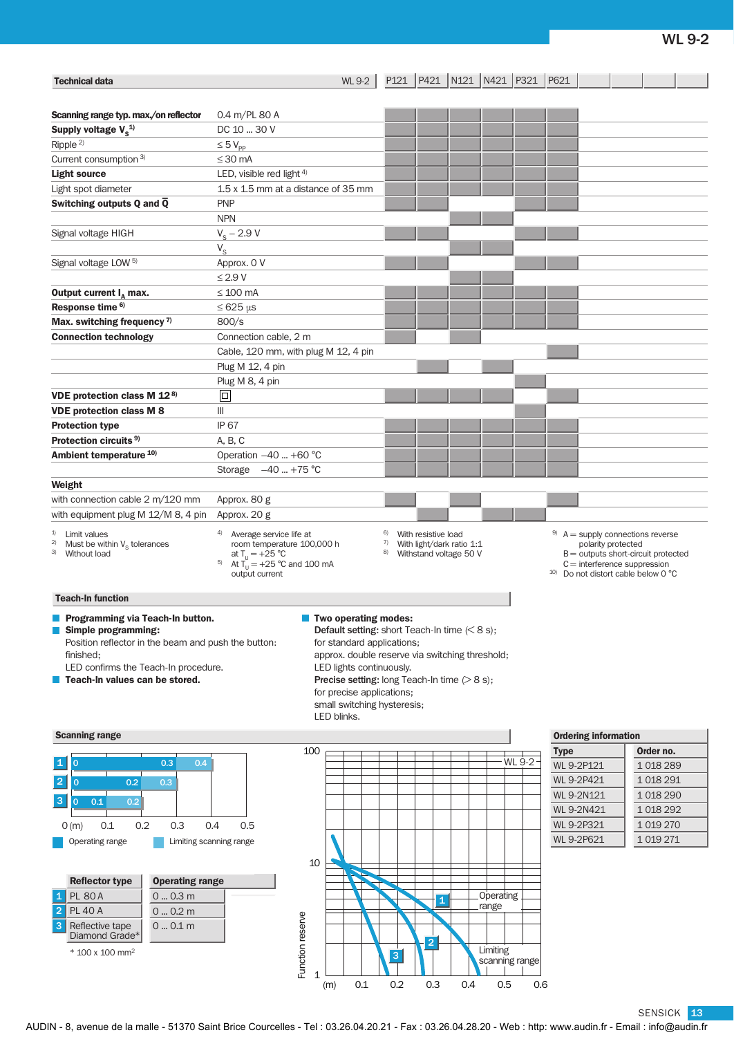| <b>Technical data</b>                                                                                                                                                                                        |                                                                                                                                                                                                                                         | P121<br><b>WL 9-2</b>                                                                                                                                                                                                                                                                                                   | P421 N121 N421 P321                          |        | P621                                                                                                                                                                                  |             |  |  |
|--------------------------------------------------------------------------------------------------------------------------------------------------------------------------------------------------------------|-----------------------------------------------------------------------------------------------------------------------------------------------------------------------------------------------------------------------------------------|-------------------------------------------------------------------------------------------------------------------------------------------------------------------------------------------------------------------------------------------------------------------------------------------------------------------------|----------------------------------------------|--------|---------------------------------------------------------------------------------------------------------------------------------------------------------------------------------------|-------------|--|--|
|                                                                                                                                                                                                              |                                                                                                                                                                                                                                         |                                                                                                                                                                                                                                                                                                                         |                                              |        |                                                                                                                                                                                       |             |  |  |
| Scanning range typ. max./on reflector<br>Supply voltage $V_s^{1/2}$                                                                                                                                          | $0.4 \text{ m/PL} 80 \text{ A}$<br>DC 10  30 V                                                                                                                                                                                          |                                                                                                                                                                                                                                                                                                                         |                                              |        |                                                                                                                                                                                       |             |  |  |
| Ripple $^{2)}$                                                                                                                                                                                               | $\leq 5$ $V_{\text{pp}}$                                                                                                                                                                                                                |                                                                                                                                                                                                                                                                                                                         |                                              |        |                                                                                                                                                                                       |             |  |  |
| Current consumption 3)                                                                                                                                                                                       | $\leq$ 30 mA                                                                                                                                                                                                                            |                                                                                                                                                                                                                                                                                                                         |                                              |        |                                                                                                                                                                                       |             |  |  |
| <b>Light source</b>                                                                                                                                                                                          | LED, visible red light $4$ )                                                                                                                                                                                                            |                                                                                                                                                                                                                                                                                                                         |                                              |        |                                                                                                                                                                                       |             |  |  |
| Light spot diameter                                                                                                                                                                                          | 1.5 x 1.5 mm at a distance of 35 mm                                                                                                                                                                                                     |                                                                                                                                                                                                                                                                                                                         |                                              |        |                                                                                                                                                                                       |             |  |  |
| Switching outputs Q and $\overline{Q}$                                                                                                                                                                       | <b>PNP</b>                                                                                                                                                                                                                              |                                                                                                                                                                                                                                                                                                                         |                                              |        |                                                                                                                                                                                       |             |  |  |
|                                                                                                                                                                                                              | <b>NPN</b>                                                                                                                                                                                                                              |                                                                                                                                                                                                                                                                                                                         |                                              |        |                                                                                                                                                                                       |             |  |  |
| Signal voltage HIGH                                                                                                                                                                                          | $V_{\rm s}$ – 2.9 V                                                                                                                                                                                                                     |                                                                                                                                                                                                                                                                                                                         |                                              |        |                                                                                                                                                                                       |             |  |  |
|                                                                                                                                                                                                              | $V_{\rm S}$                                                                                                                                                                                                                             |                                                                                                                                                                                                                                                                                                                         |                                              |        |                                                                                                                                                                                       |             |  |  |
| Signal voltage LOW <sup>5)</sup>                                                                                                                                                                             | Approx. 0 V                                                                                                                                                                                                                             |                                                                                                                                                                                                                                                                                                                         |                                              |        |                                                                                                                                                                                       |             |  |  |
|                                                                                                                                                                                                              | $\leq$ 2.9 V                                                                                                                                                                                                                            |                                                                                                                                                                                                                                                                                                                         |                                              |        |                                                                                                                                                                                       |             |  |  |
| Output current $I_{\Delta}$ max.                                                                                                                                                                             | $\leq 100$ mA                                                                                                                                                                                                                           |                                                                                                                                                                                                                                                                                                                         |                                              |        |                                                                                                                                                                                       |             |  |  |
| Response time <sup>6)</sup>                                                                                                                                                                                  | $\leq 625 \,\mu s$                                                                                                                                                                                                                      |                                                                                                                                                                                                                                                                                                                         |                                              |        |                                                                                                                                                                                       |             |  |  |
| Max. switching frequency <sup>7)</sup>                                                                                                                                                                       | 800/s                                                                                                                                                                                                                                   |                                                                                                                                                                                                                                                                                                                         |                                              |        |                                                                                                                                                                                       |             |  |  |
| <b>Connection technology</b>                                                                                                                                                                                 | Connection cable, 2 m                                                                                                                                                                                                                   |                                                                                                                                                                                                                                                                                                                         |                                              |        |                                                                                                                                                                                       |             |  |  |
|                                                                                                                                                                                                              | Cable, 120 mm, with plug M 12, 4 pin                                                                                                                                                                                                    |                                                                                                                                                                                                                                                                                                                         |                                              |        |                                                                                                                                                                                       |             |  |  |
|                                                                                                                                                                                                              | Plug M 12, 4 pin<br>Plug M 8, 4 pin                                                                                                                                                                                                     |                                                                                                                                                                                                                                                                                                                         |                                              |        |                                                                                                                                                                                       |             |  |  |
| VDE protection class M 12 <sup>8)</sup>                                                                                                                                                                      | $\Box$                                                                                                                                                                                                                                  |                                                                                                                                                                                                                                                                                                                         |                                              |        |                                                                                                                                                                                       |             |  |  |
| <b>VDE protection class M 8</b>                                                                                                                                                                              | Ш                                                                                                                                                                                                                                       |                                                                                                                                                                                                                                                                                                                         |                                              |        |                                                                                                                                                                                       |             |  |  |
| <b>Protection type</b>                                                                                                                                                                                       | <b>IP 67</b>                                                                                                                                                                                                                            |                                                                                                                                                                                                                                                                                                                         |                                              |        |                                                                                                                                                                                       |             |  |  |
| Protection circuits <sup>9)</sup>                                                                                                                                                                            | A, B, C                                                                                                                                                                                                                                 |                                                                                                                                                                                                                                                                                                                         |                                              |        |                                                                                                                                                                                       |             |  |  |
| Ambient temperature 10)                                                                                                                                                                                      | Operation -40  +60 °C                                                                                                                                                                                                                   |                                                                                                                                                                                                                                                                                                                         |                                              |        |                                                                                                                                                                                       |             |  |  |
|                                                                                                                                                                                                              | Storage $-40$ +75 °C                                                                                                                                                                                                                    |                                                                                                                                                                                                                                                                                                                         |                                              |        |                                                                                                                                                                                       |             |  |  |
| Weight                                                                                                                                                                                                       |                                                                                                                                                                                                                                         |                                                                                                                                                                                                                                                                                                                         |                                              |        |                                                                                                                                                                                       |             |  |  |
| with connection cable 2 m/120 mm                                                                                                                                                                             | Approx. 80 g                                                                                                                                                                                                                            |                                                                                                                                                                                                                                                                                                                         |                                              |        |                                                                                                                                                                                       |             |  |  |
| with equipment plug M 12/M 8, 4 pin                                                                                                                                                                          | Approx. 20 g                                                                                                                                                                                                                            |                                                                                                                                                                                                                                                                                                                         |                                              |        |                                                                                                                                                                                       |             |  |  |
| 1)<br>Limit values<br>Must be within $V_S$ tolerances<br>2)<br>3) Without load                                                                                                                               | Average service life at<br>6)<br>With resistive load<br>room temperature 100,000 h<br>With light/dark ratio 1:1<br>7)<br>8)<br>Withstand voltage 50 V<br>at $T_{11} = +25 °C$<br>At $T_{U} = +25$ °C and 100 mA<br>5)<br>output current |                                                                                                                                                                                                                                                                                                                         |                                              |        | $9$ A = supply connections reverse<br>polarity protected<br>$B =$ outputs short-circuit protected<br>$C =$ interference suppression<br><sup>10)</sup> Do not distort cable below 0 °C |             |  |  |
| <b>Teach-In function</b>                                                                                                                                                                                     |                                                                                                                                                                                                                                         |                                                                                                                                                                                                                                                                                                                         |                                              |        |                                                                                                                                                                                       |             |  |  |
| Programming via Teach-In button.<br>Simple programming:<br>a l<br>Position reflector in the beam and push the button:<br>finished;<br>LED confirms the Teach-In procedure.<br>Teach-In values can be stored. | LED blinks.                                                                                                                                                                                                                             | Two operating modes:<br><b>Default setting:</b> short Teach-In time $(68 s)$ ;<br>for standard applications;<br>approx. double reserve via switching threshold;<br>LED lights continuously.<br><b>Precise setting:</b> long Teach-In time $(>8 \text{ s});$<br>for precise applications;<br>small switching hysteresis; |                                              |        |                                                                                                                                                                                       |             |  |  |
| <b>Scanning range</b>                                                                                                                                                                                        |                                                                                                                                                                                                                                         |                                                                                                                                                                                                                                                                                                                         |                                              |        | <b>Ordering information</b>                                                                                                                                                           |             |  |  |
|                                                                                                                                                                                                              | 100                                                                                                                                                                                                                                     |                                                                                                                                                                                                                                                                                                                         |                                              |        | <b>Type</b>                                                                                                                                                                           | Order no.   |  |  |
| $\mathbf{1}$<br>0.3<br>0.4<br>$\overline{0}$                                                                                                                                                                 |                                                                                                                                                                                                                                         |                                                                                                                                                                                                                                                                                                                         |                                              | WL 9-2 | WL 9-2P121                                                                                                                                                                            | 1018289     |  |  |
| $ 2\rangle$<br>0.2<br>0.3<br>$\overline{0}$                                                                                                                                                                  |                                                                                                                                                                                                                                         |                                                                                                                                                                                                                                                                                                                         |                                              |        | WL 9-2P421                                                                                                                                                                            | 1 018 291   |  |  |
| IЗ.<br>0.1<br>0.2<br>$\overline{0}$                                                                                                                                                                          |                                                                                                                                                                                                                                         |                                                                                                                                                                                                                                                                                                                         |                                              |        | <b>WL 9-2N121</b>                                                                                                                                                                     | 1018290     |  |  |
|                                                                                                                                                                                                              |                                                                                                                                                                                                                                         |                                                                                                                                                                                                                                                                                                                         |                                              |        | WL 9-2N421                                                                                                                                                                            | 1 018 292   |  |  |
| 0.2<br>0.3<br>0.1<br>O(m)                                                                                                                                                                                    | 0.4<br>0.5                                                                                                                                                                                                                              |                                                                                                                                                                                                                                                                                                                         |                                              |        | WL 9-2P321                                                                                                                                                                            | 1 0 19 2 70 |  |  |
| Operating range                                                                                                                                                                                              | Limiting scanning range<br>$10$                                                                                                                                                                                                         |                                                                                                                                                                                                                                                                                                                         |                                              |        | WL 9-2P621                                                                                                                                                                            | 1 0 19 27 1 |  |  |
| <b>Reflector type</b><br><b>Operating range</b>                                                                                                                                                              |                                                                                                                                                                                                                                         |                                                                                                                                                                                                                                                                                                                         |                                              |        |                                                                                                                                                                                       |             |  |  |
| <b>PL 80 A</b><br>$0 \dots 0.3$ m<br>$\mathbf{1}$                                                                                                                                                            |                                                                                                                                                                                                                                         |                                                                                                                                                                                                                                                                                                                         | <b>Operating</b>                             |        |                                                                                                                                                                                       |             |  |  |
| $\overline{a}$<br><b>PL 40 A</b><br>$0 \dots 0.2$ m                                                                                                                                                          |                                                                                                                                                                                                                                         |                                                                                                                                                                                                                                                                                                                         | $\mathbf{1}$<br>range                        |        |                                                                                                                                                                                       |             |  |  |
| 3<br>Reflective tape<br>$0 \dots 0.1 \, m$                                                                                                                                                                   |                                                                                                                                                                                                                                         |                                                                                                                                                                                                                                                                                                                         |                                              |        |                                                                                                                                                                                       |             |  |  |
| Diamond Grade*<br>* 100 x 100 mm <sup>2</sup>                                                                                                                                                                | Function reserve                                                                                                                                                                                                                        | $\overline{3}$                                                                                                                                                                                                                                                                                                          | $\overline{2}$<br>Limiting<br>scanning range |        |                                                                                                                                                                                       |             |  |  |
|                                                                                                                                                                                                              | 1<br>(m)                                                                                                                                                                                                                                | 0.2<br>0.1                                                                                                                                                                                                                                                                                                              | $0.3\,$<br>0.5<br>0.4                        | 0.6    |                                                                                                                                                                                       |             |  |  |

SENSICK <mark>13</mark>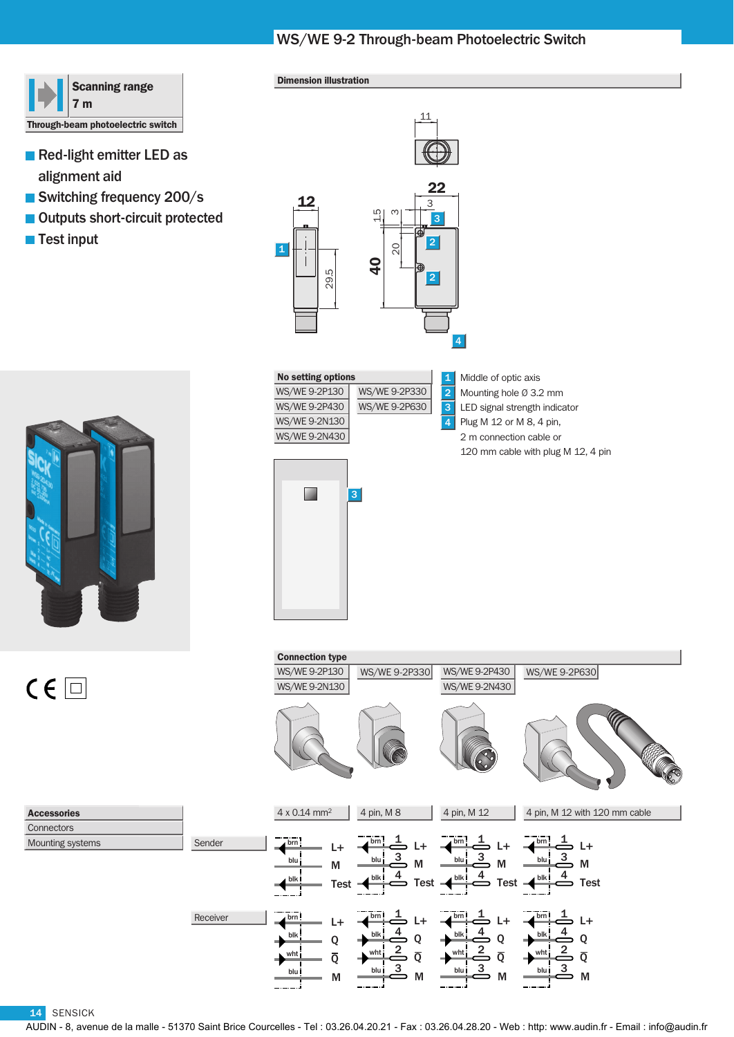# WS/WE 9-2 Through-beam Photoelectric Switch



- Red-light emitter LED as alignment aid
- Switching frequency 200/s
- Outputs short-circuit protected
- Test input



### Dimension illustration



| <b>No setting options</b> |               | 1              | Middle of optic axis               |
|---------------------------|---------------|----------------|------------------------------------|
| WS/WE 9-2P130             | WS/WE 9-2P330 | $\overline{2}$ | Mounting hole $\varnothing$ 3.2 mm |
| WS/WE 9-2P430             | WS/WE 9-2P630 | 3              | LED signal strength indicator      |
| WS/WE 9-2N130             |               | $\overline{4}$ | Plug M 12 or M 8, 4 pin,           |
| WS/WE 9-2N430             |               |                | 2 m connection cable or            |
|                           |               |                | 120 mm cable with plug M 12, 4 pin |



Connection type WS/WE 9-2P130 WS/WE 9-2P330 WS/WE 9-2P430 WS/WE 9-2P630 WS/WE 9-2N130 WS/WE 9-2N430 4 pin, M 8 4 pin, M 12 4 x 0.14 mm2  $\mathcal{L}(\mathcal{A})$ 4 pin, M 12 with 120 mm cable  $\stackrel{1}{\Rightarrow}$  L+ Sender brn brn brn  $L+$ brn  $1 +$ L+ 3 3 3 blu blu blu M M M blu M  $\frac{4}{ }$ 4  $\stackrel{4}{\Rightarrow}$  Test blk Test blk Test  $=$ blk blk Test Receiver  $L+$   $\overline{abm}$   $L+$   $\overline{abm}$   $\overline{a}$   $L+$   $\overline{abm}$   $\overline{a}$   $L+$  $\overline{\mathbf{b}^{\mathsf{r}}\mathbf{n}}$  $\stackrel{1}{\Rightarrow}$  L+ brn brn brn  $L+$ L+ 4 4 4 blk Q blk Q blk Q blk Q 2 2 2  $\overline{Q}$ wht  $\overline{Q}$ wht wht Q wht Q 3 3 3

blu

M

M

M

blu

14 SENSICK

Mounting systems **Connectors** Accessories

 $C \in \Box$ 

AUDIN - 8, avenue de la malle - 51370 Saint Brice Courcelles - Tel : 03.26.04.20.21 - Fax : 03.26.04.28.20 - Web : http: www.audin.fr - Email : info@audin.fr

blu

M

blu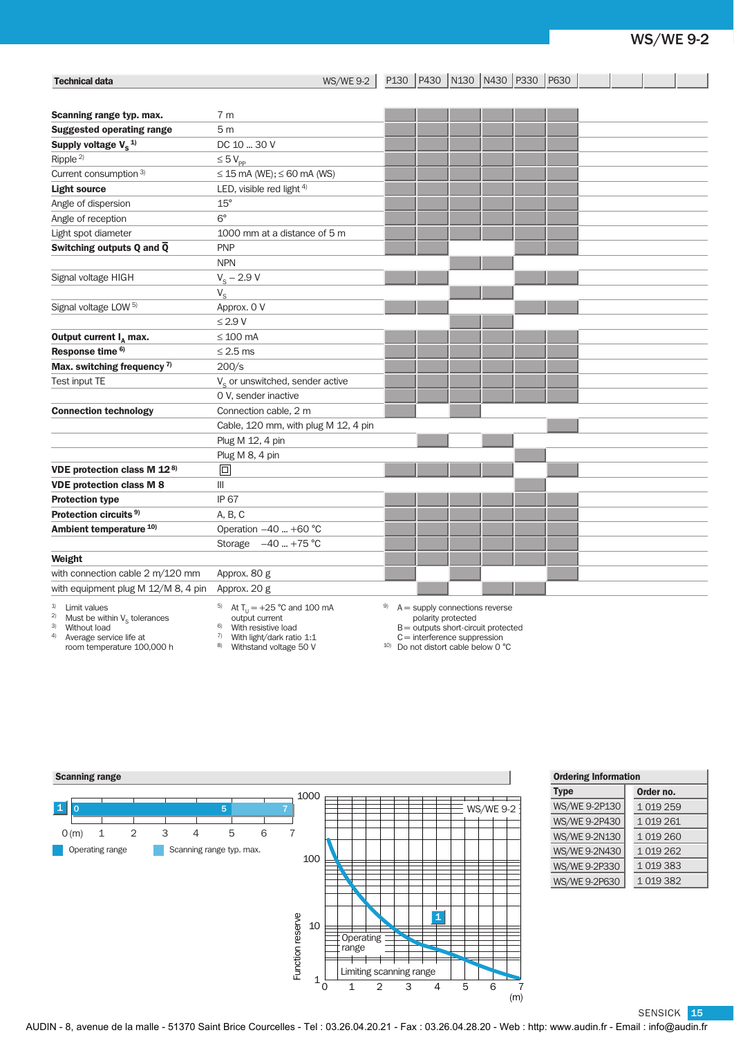# WS/WE 9-2

| <b>Technical data</b>                                                                                           | <b>WS/WE 9-2</b>                                                                                                               |    |                    | P130   P430   N130   N430   P330   P630                                                                     |  |  |  |  |
|-----------------------------------------------------------------------------------------------------------------|--------------------------------------------------------------------------------------------------------------------------------|----|--------------------|-------------------------------------------------------------------------------------------------------------|--|--|--|--|
| Scanning range typ. max.                                                                                        | 7 <sub>m</sub>                                                                                                                 |    |                    |                                                                                                             |  |  |  |  |
| <b>Suggested operating range</b>                                                                                | 5 <sub>m</sub>                                                                                                                 |    |                    |                                                                                                             |  |  |  |  |
| Supply voltage $V_s$ <sup>1)</sup>                                                                              | DC 10  30 V                                                                                                                    |    |                    |                                                                                                             |  |  |  |  |
| Ripple <sup>2)</sup>                                                                                            | $\leq 5$ $V_{\text{pp}}$                                                                                                       |    |                    |                                                                                                             |  |  |  |  |
| Current consumption 3)                                                                                          | $\leq$ 15 mA (WE); $\leq$ 60 mA (WS)                                                                                           |    |                    |                                                                                                             |  |  |  |  |
| <b>Light source</b>                                                                                             | LED, visible red light 4)                                                                                                      |    |                    |                                                                                                             |  |  |  |  |
| Angle of dispersion                                                                                             | $15^{\circ}$                                                                                                                   |    |                    |                                                                                                             |  |  |  |  |
| Angle of reception                                                                                              | $6^{\circ}$                                                                                                                    |    |                    |                                                                                                             |  |  |  |  |
| Light spot diameter                                                                                             | 1000 mm at a distance of 5 m                                                                                                   |    |                    |                                                                                                             |  |  |  |  |
| Switching outputs Q and $\overline{Q}$                                                                          | <b>PNP</b>                                                                                                                     |    |                    |                                                                                                             |  |  |  |  |
|                                                                                                                 | <b>NPN</b>                                                                                                                     |    |                    |                                                                                                             |  |  |  |  |
| Signal voltage HIGH                                                                                             | $V_{\rm s}$ – 2.9 V                                                                                                            |    |                    |                                                                                                             |  |  |  |  |
|                                                                                                                 | $V_{\rm s}$                                                                                                                    |    |                    |                                                                                                             |  |  |  |  |
| Signal voltage LOW <sup>5)</sup>                                                                                | Approx. 0 V                                                                                                                    |    |                    |                                                                                                             |  |  |  |  |
|                                                                                                                 | $\leq$ 2.9 V                                                                                                                   |    |                    |                                                                                                             |  |  |  |  |
| Output current $I_{\alpha}$ max.                                                                                | $\leq 100$ mA                                                                                                                  |    |                    |                                                                                                             |  |  |  |  |
| Response time <sup>6)</sup>                                                                                     | $\leq$ 2.5 ms                                                                                                                  |    |                    |                                                                                                             |  |  |  |  |
| Max. switching frequency <sup>7)</sup>                                                                          | 200/s                                                                                                                          |    |                    |                                                                                                             |  |  |  |  |
| Test input TE                                                                                                   | $Vs$ or unswitched, sender active                                                                                              |    |                    |                                                                                                             |  |  |  |  |
|                                                                                                                 | 0 V, sender inactive                                                                                                           |    |                    |                                                                                                             |  |  |  |  |
| <b>Connection technology</b>                                                                                    | Connection cable, 2 m                                                                                                          |    |                    |                                                                                                             |  |  |  |  |
|                                                                                                                 | Cable, 120 mm, with plug M 12, 4 pin                                                                                           |    |                    |                                                                                                             |  |  |  |  |
|                                                                                                                 | Plug M 12, 4 pin                                                                                                               |    |                    |                                                                                                             |  |  |  |  |
|                                                                                                                 | Plug M 8, 4 pin                                                                                                                |    |                    |                                                                                                             |  |  |  |  |
| VDE protection class M 128)                                                                                     | 同                                                                                                                              |    |                    |                                                                                                             |  |  |  |  |
| <b>VDE protection class M 8</b>                                                                                 | Ш                                                                                                                              |    |                    |                                                                                                             |  |  |  |  |
| <b>Protection type</b>                                                                                          | <b>IP 67</b>                                                                                                                   |    |                    |                                                                                                             |  |  |  |  |
| Protection circuits <sup>9)</sup>                                                                               | A, B, C                                                                                                                        |    |                    |                                                                                                             |  |  |  |  |
| Ambient temperature <sup>10)</sup>                                                                              | Operation -40  +60 °C                                                                                                          |    |                    |                                                                                                             |  |  |  |  |
|                                                                                                                 | Storage $-40$ +75 °C                                                                                                           |    |                    |                                                                                                             |  |  |  |  |
| Weight                                                                                                          |                                                                                                                                |    |                    |                                                                                                             |  |  |  |  |
| with connection cable 2 m/120 mm                                                                                | Approx. 80 g                                                                                                                   |    |                    |                                                                                                             |  |  |  |  |
| with equipment plug M 12/M 8, 4 pin                                                                             | Approx. 20 g                                                                                                                   |    |                    |                                                                                                             |  |  |  |  |
| 1)<br>Limit values<br>2)<br>Must be within $V_c$ tolerances<br>3) Without load<br>4)<br>Average service life at | <sup>5)</sup> At T <sub>11</sub> = +25 °C and 100 mA<br>output current<br>With resistive load<br>$7$ With light/dark ratio 1:1 | 9) | polarity protected | $A =$ supply connections reverse<br>$B =$ outputs short-circuit protected<br>$C =$ interference suppression |  |  |  |  |

- room temperature 100,000 h
	-
- $7$  With light/dark ratio 1:1
- 8) Withstand voltage 50 V
- $C =$  interference suppression<br>
<sup>10)</sup> Do not distort cable below 0 °C



| <b>Ordering Information</b> |           |  |  |  |  |  |
|-----------------------------|-----------|--|--|--|--|--|
| <b>Type</b>                 | Order no. |  |  |  |  |  |
| WS/WE 9-2P130               | 1 019 259 |  |  |  |  |  |
| WS/WE 9-2P430               | 1 019 261 |  |  |  |  |  |
| WS/WE 9-2N130               | 1 019 260 |  |  |  |  |  |
| WS/WE 9-2N430               | 1 019 262 |  |  |  |  |  |
| WS/WE 9-2P330               | 1 019 383 |  |  |  |  |  |
|                             |           |  |  |  |  |  |

WS/WE 9-2P630 1 019 382

SENSICK 15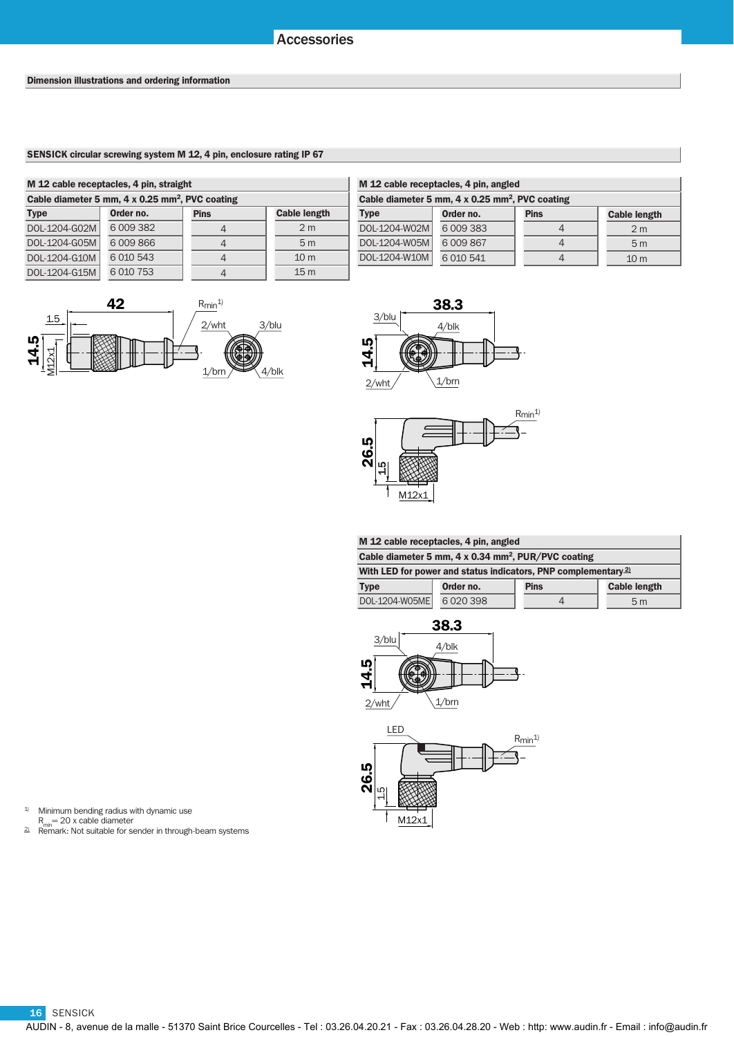### SENSICK circular screwing system M 12, 4 pin, enclosure rating IP 67

| M 12 cable receptacles, 4 pin, straight                     |               |             |                     | M 12 cable receptacles, 4 pin, angled                       |               |                |  |
|-------------------------------------------------------------|---------------|-------------|---------------------|-------------------------------------------------------------|---------------|----------------|--|
| Cable diameter 5 mm, 4 x 0.25 mm <sup>2</sup> , PVC coating |               |             |                     | Cable diameter 5 mm, 4 x 0.25 mm <sup>2</sup> , PVC coating |               |                |  |
| <b>Type</b>                                                 | Order no.     | <b>Pins</b> | <b>Cable length</b> | <b>Type</b>                                                 | Order no.     | <b>Pins</b>    |  |
| DOL-1204-G02M                                               | 6 0 0 3 3 8 2 |             | 2 <sub>m</sub>      | DOL-1204-W02M                                               | 6 0 0 3 3 3 3 | $\overline{4}$ |  |
| DOL-1204-G05M                                               | 6009866       |             | 5 <sub>m</sub>      | DOL-1204-W05M                                               | 6 0 0 8 6 7   | $\overline{4}$ |  |
| DOL-1204-G10M                                               | 6 0 10 5 43   |             | 10 <sub>m</sub>     | DOL-1204-W10M                                               | 6 0 10 5 41   | $\overline{4}$ |  |
| DOL-1204-G15M                                               | 6 0 10 7 5 3  |             | 15 <sub>m</sub>     |                                                             |               |                |  |

|           | 42 | $R_{min}$ <sup>1)</sup> |       |
|-----------|----|-------------------------|-------|
| $1.5\,$   |    | 2/wht                   | 3/blu |
| 14.5<br>↘ |    | $1/$ brn                |       |

| M 12 cable receptacles, 4 pin, angled                       |             |             |                     |  |  |
|-------------------------------------------------------------|-------------|-------------|---------------------|--|--|
| Cable diameter 5 mm, 4 x 0.25 mm <sup>2</sup> , PVC coating |             |             |                     |  |  |
| <b>Type</b>                                                 | Order no.   | <b>Pins</b> | <b>Cable length</b> |  |  |
| DOL-1204-W02M                                               | 6 009 383   |             | 2 <sub>m</sub>      |  |  |
| DOL-1204-W05M                                               | 6 009 867   |             | 5 <sub>m</sub>      |  |  |
| DOL-1204-W10M                                               | 6 0 10 5 41 |             | 10 <sub>m</sub>     |  |  |





| M 12 cable receptacles, 4 pin, angled                           |             |             |                     |  |
|-----------------------------------------------------------------|-------------|-------------|---------------------|--|
| Cable diameter 5 mm, 4 x 0.34 mm <sup>2</sup> , PUR/PVC coating |             |             |                     |  |
| With LED for power and status indicators, PNP complementary $2$ |             |             |                     |  |
| <b>Type</b>                                                     | Order no.   | <b>Pins</b> | <b>Cable length</b> |  |
| DOL-1204-W05ME                                                  | 6 0 20 3 98 |             | 5 <sub>m</sub>      |  |
|                                                                 |             |             |                     |  |





1) Minimum bending radius with dynamic use

R<sub>min</sub>= 20 x cable diameter<br>
<sup>2</sup><br>
Remark: Not suitable for sender in through-beam systems

16 SENSICK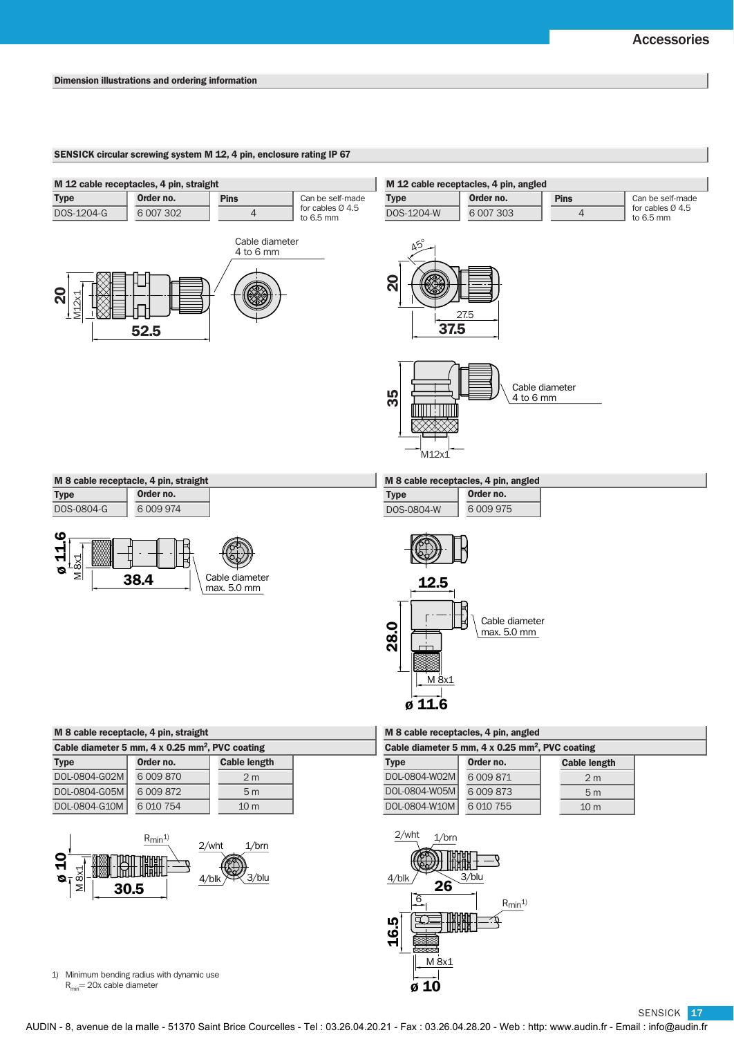### SENSICK circular screwing system M 12, 4 pin, enclosure rating IP 67



Type  $DOS-080$ 

| ivi o cable receptacie, 4 pin, straight |               |  |  |
|-----------------------------------------|---------------|--|--|
| <b>Type</b>                             | Order no.     |  |  |
| DOS-0804-G                              | 6 0 0 9 9 7 4 |  |  |
|                                         |               |  |  |



|  |  |  |  | M 8 cable receptacles, 4 pin, angled |  |  |  |
|--|--|--|--|--------------------------------------|--|--|--|
|--|--|--|--|--------------------------------------|--|--|--|

|      | Order no. |
|------|-----------|
| ገ4-W | 6 0 0 975 |



### M 8 cable receptacle, 4 pin, straight M 8 cable receptacles, 4 pin, angled

| Cable diameter 5 mm, 4 x 0.25 mm <sup>2</sup> , PVC coating |                     |  | Cable diameter 5 mm, 4 x 0.25 mm <sup>2</sup> , PVC coating |               |                 |  |
|-------------------------------------------------------------|---------------------|--|-------------------------------------------------------------|---------------|-----------------|--|
| Order no.                                                   | <b>Cable length</b> |  | <b>Type</b>                                                 | Order no.     | <b>Cable le</b> |  |
| 6 009 870                                                   | 2 <sub>m</sub>      |  |                                                             | 6 009 871     | 21              |  |
| 6 0 0 8 8 7 2                                               | 5 <sub>m</sub>      |  |                                                             | 6 0 0 8 7 3   | 51              |  |
| 6 0 10 7 5 4                                                | 10 <sub>m</sub>     |  | DOL-0804-W10M                                               | 6 0 10 7 5 5  | 10 <sub>1</sub> |  |
|                                                             |                     |  |                                                             | DOL-0804-W05M | DOL-0804-W02M   |  |



| Cable diameter 5 mm, 4 x 0.25 mm <sup>2</sup> , PVC coating |             |                     |  |  |  |
|-------------------------------------------------------------|-------------|---------------------|--|--|--|
| <b>Type</b>                                                 | Order no.   | <b>Cable length</b> |  |  |  |
| DOL-0804-W02M                                               | 6 009 871   | 2 <sub>m</sub>      |  |  |  |
| DOL-0804-W05M                                               | 6 0 0 8 7 3 | 5 <sub>m</sub>      |  |  |  |
| DOL-0804-W10M                                               | 6 010 755   | 10 <sub>m</sub>     |  |  |  |



1) Minimum bending radius with dynamic use  $R_{min}$ = 20x cable diameter

## SENSICK <mark>17</mark>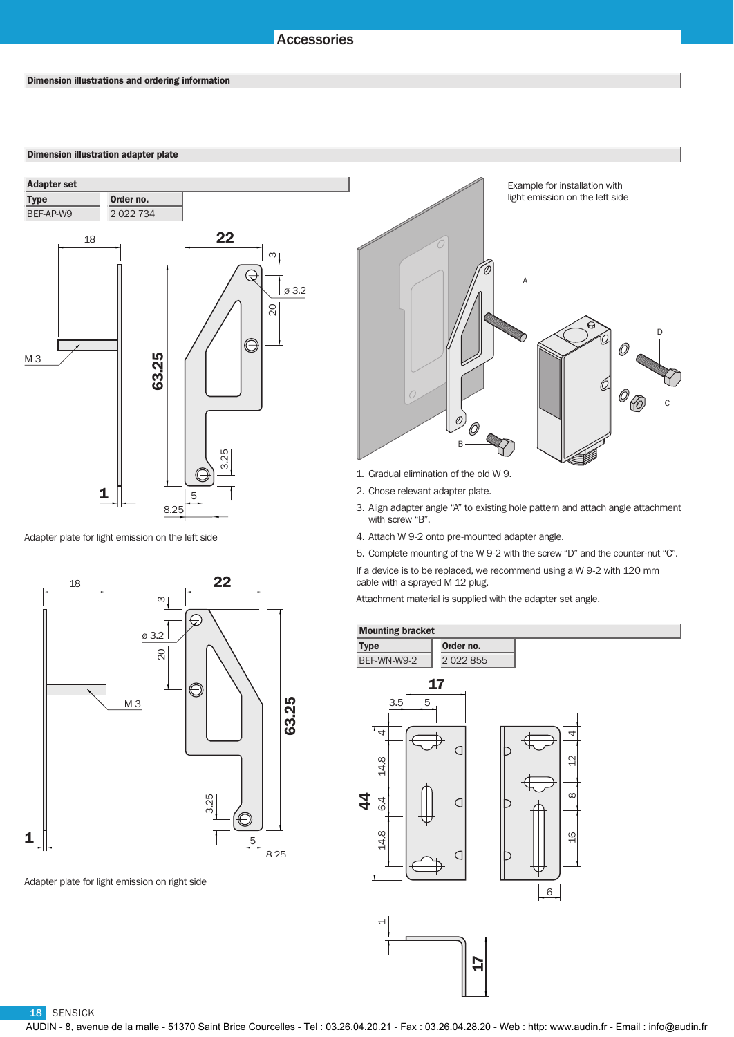## Accessories

### Dimension illustration adapter plate



Adapter plate for light emission on the left side

22 18  $\infty$ ø 3.2 20 O 63.25 M 3 3.25  $\mathbb G$ 1 5 8 25

Adapter plate for light emission on right side



- 1. Gradual elimination of the old W 9.
- 2. Chose relevant adapter plate.
- 3. Align adapter angle "A" to existing hole pattern and attach angle attachment with screw "B".
- 4. Attach W 9-2 onto pre-mounted adapter angle.
- 5. Complete mounting of the W 9-2 with the screw "D" and the counter-nut "C".

If a device is to be replaced, we recommend using a W 9-2 with 120 mm cable with a sprayed M 12 plug.

Attachment material is supplied with the adapter set angle.

17



18 SENSICK

AUDIN - 8, avenue de la malle - 51370 Saint Brice Courcelles - Tel : 03.26.04.20.21 - Fax : 03.26.04.28.20 - Web : http: www.audin.fr - Email : info@audin.fr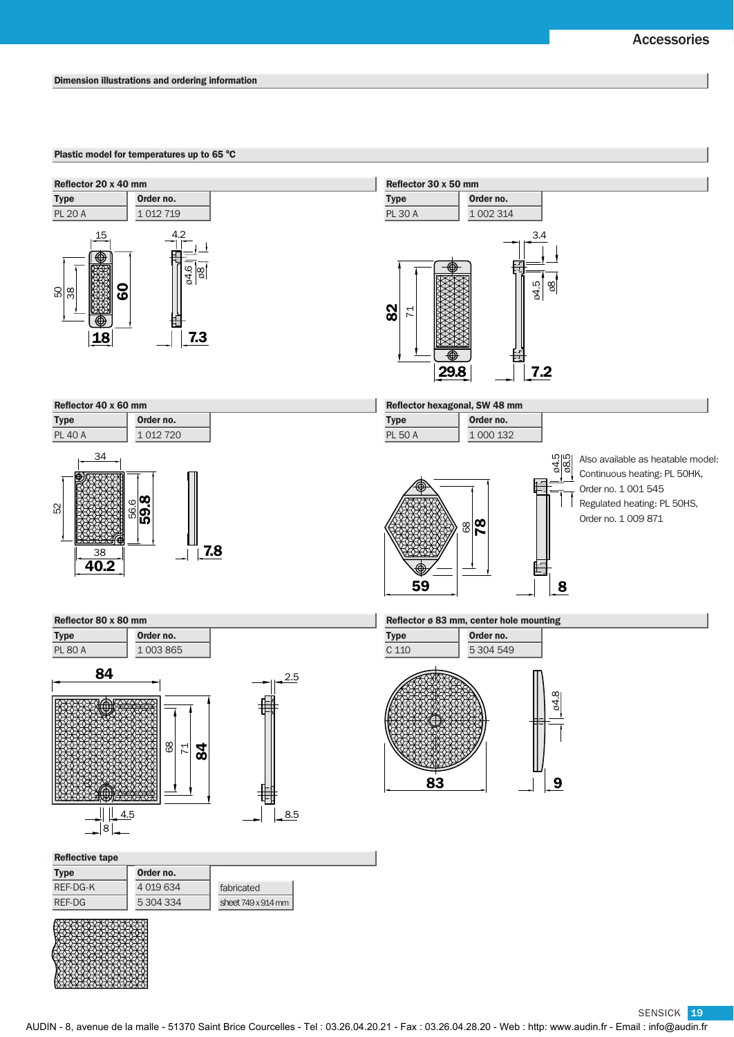SENSICK 19

### Dimension illustrations and ordering information

### Plastic model for temperatures up to 65 °C